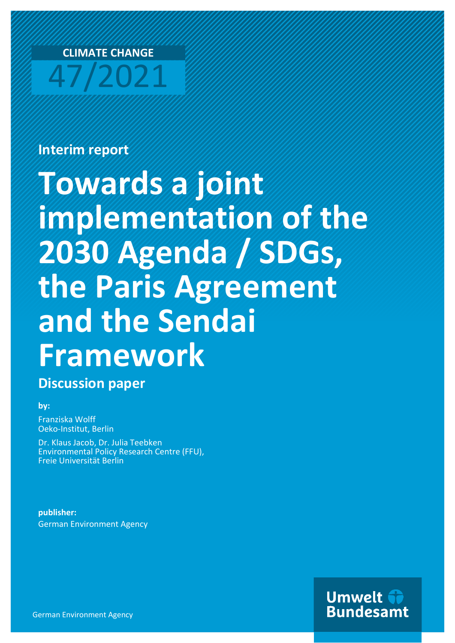

# **Interim report**

# **Towards a joint implementation of the 2030 Agenda / SDGs, the Paris Agreement and the Sendai Framework**

**Discussion paper**

### **by:**

Franziska Wolff Oeko-Institut, Berlin

Dr. Klaus Jacob, Dr. Julia Teebken Environmental Policy Research Centre (FFU), Freie Universität Berlin

**publisher:** German Environment Agency

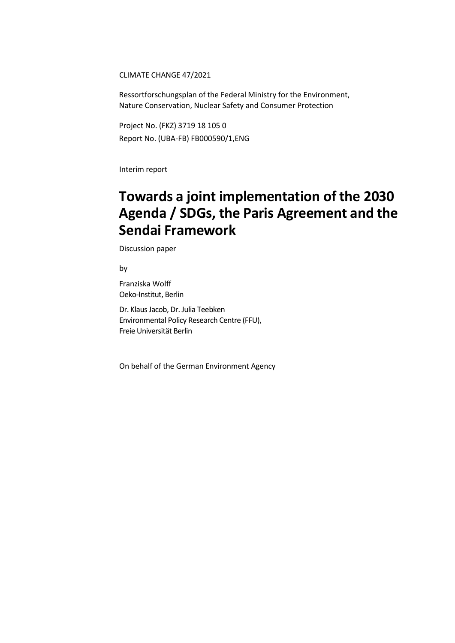CLIMATE CHANGE 47/2021

Ressortforschungsplan of the Federal Ministry for the Environment, Nature Conservation, Nuclear Safety and Consumer Protection

Project No. (FKZ) 3719 18 105 0 Report No. (UBA-FB) FB000590/1,ENG

Interim report

# **Towards a joint implementation of the 2030 Agenda / SDGs, the Paris Agreement and the Sendai Framework**

Discussion paper

by

Franziska Wolff Oeko-Institut, Berlin

Dr. Klaus Jacob, Dr. Julia Teebken Environmental Policy Research Centre (FFU), Freie Universität Berlin

On behalf of the German Environment Agency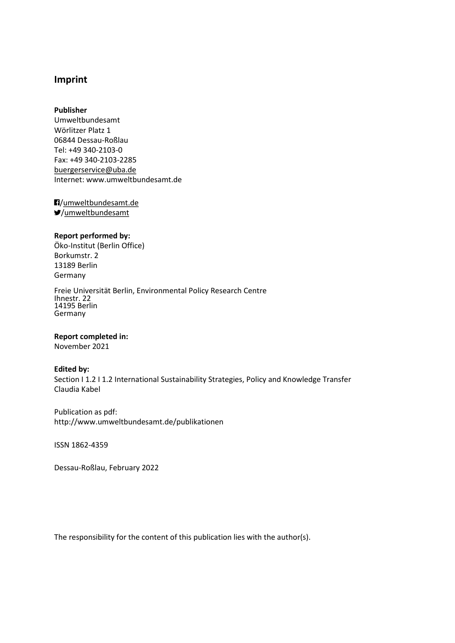### **Imprint**

#### **Publisher**

Umweltbundesamt Wörlitzer Platz 1 06844 Dessau-Roßlau Tel: +49 340-2103-0 Fax: +49 340-2103-2285 [buergerservice@uba.de](mailto:buergerservice@uba.de)  Internet: www.umweltbundesamt.de

/umweltbundesamt.de /umweltbundesamt

#### **Report performed by:**

Öko-Institut (Berlin Office) Borkumstr. 2 13189 Berlin Germany

Freie Universität Berlin, Environmental Policy Research Centre Ihnestr. 22 14195 Berlin Germany

#### **Report completed in:**

November 2021

#### **Edited by:**

Section I 1.2 I 1.2 International Sustainability Strategies, Policy and Knowledge Transfer Claudia Kabel

Publication as pdf: http://www.umweltbundesamt.de/publikationen

ISSN 1862-4359

Dessau-Roßlau, February 2022

The responsibility for the content of this publication lies with the author(s).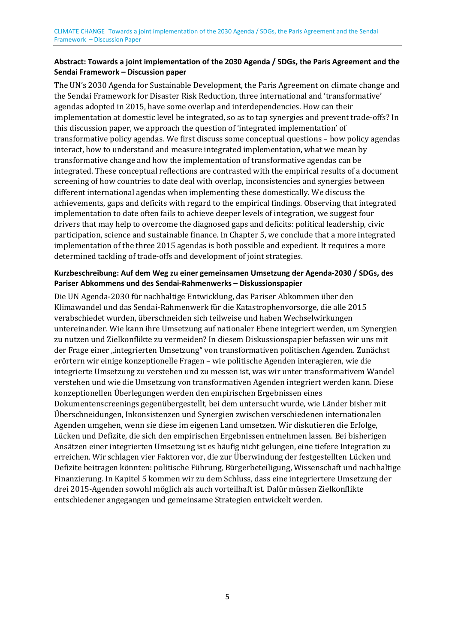The UN's 2030 Agenda for Sustainable Development, the Paris Agreement on climate change and the Sendai Framework for Disaster Risk Reduction, three international and 'transformative' agendas adopted in 2015, have some overlap and interdependencies. How can their implementation at domestic level be integrated, so as to tap synergies and prevent trade-offs? In this discussion paper, we approach the question of 'integrated implementation' of transformative policy agendas. We first discuss some conceptual questions – how policy agendas interact, how to understand and measure integrated implementation, what we mean by transformative change and how the implementation of transformative agendas can be integrated. These conceptual reflections are contrasted with the empirical results of a document screening of how countries to date deal with overlap, inconsistencies and synergies between different international agendas when implementing these domestically. We discuss the achievements, gaps and deficits with regard to the empirical findings. Observing that integrated implementation to date often fails to achieve deeper levels of integration, we suggest four drivers that may help to overcome the diagnosed gaps and deficits: political leadership, civic participation, science and sustainable finance. In Chapter 5, we conclude that a more integrated implementation of the three 2015 agendas is both possible and expedient. It requires a more determined tackling of trade-offs and development of joint strategies.

### **Kurzbeschreibung: Auf dem Weg zu einer gemeinsamen Umsetzung der Agenda-2030 / SDGs, des Pariser Abkommens und des Sendai-Rahmenwerks – Diskussionspapier**

Die UN Agenda-2030 für nachhaltige Entwicklung, das Pariser Abkommen über den Klimawandel und das Sendai-Rahmenwerk für die Katastrophenvorsorge, die alle 2015 verabschiedet wurden, überschneiden sich teilweise und haben Wechselwirkungen untereinander. Wie kann ihre Umsetzung auf nationaler Ebene integriert werden, um Synergien zu nutzen und Zielkonflikte zu vermeiden? In diesem Diskussionspapier befassen wir uns mit der Frage einer "integrierten Umsetzung" von transformativen politischen Agenden. Zunächst erörtern wir einige konzeptionelle Fragen – wie politische Agenden interagieren, wie die integrierte Umsetzung zu verstehen und zu messen ist, was wir unter transformativem Wandel verstehen und wie die Umsetzung von transformativen Agenden integriert werden kann. Diese konzeptionellen Überlegungen werden den empirischen Ergebnissen eines Dokumentenscreenings gegenübergestellt, bei dem untersucht wurde, wie Länder bisher mit Überschneidungen, Inkonsistenzen und Synergien zwischen verschiedenen internationalen Agenden umgehen, wenn sie diese im eigenen Land umsetzen. Wir diskutieren die Erfolge, Lücken und Defizite, die sich den empirischen Ergebnissen entnehmen lassen. Bei bisherigen Ansätzen einer integrierten Umsetzung ist es häufig nicht gelungen, eine tiefere Integration zu erreichen. Wir schlagen vier Faktoren vor, die zur Überwindung der festgestellten Lücken und Defizite beitragen könnten: politische Führung, Bürgerbeteiligung, Wissenschaft und nachhaltige Finanzierung. In Kapitel 5 kommen wir zu dem Schluss, dass eine integriertere Umsetzung der drei 2015-Agenden sowohl möglich als auch vorteilhaft ist. Dafür müssen Zielkonflikte entschiedener angegangen und gemeinsame Strategien entwickelt werden.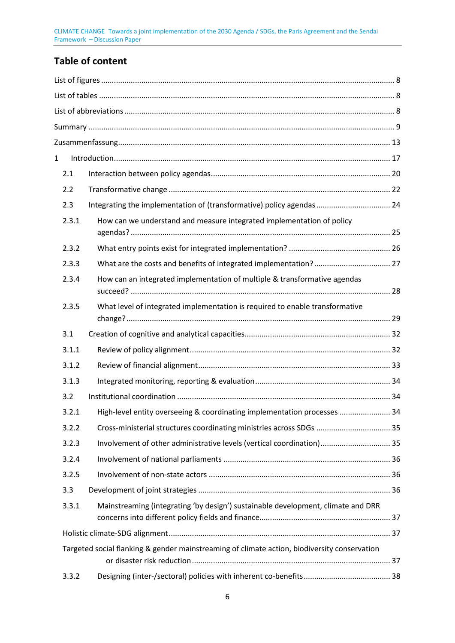# **Table of content**

| 1 |                                                                                              |                                                                                  |  |
|---|----------------------------------------------------------------------------------------------|----------------------------------------------------------------------------------|--|
|   | 2.1                                                                                          |                                                                                  |  |
|   | 2.2                                                                                          |                                                                                  |  |
|   | 2.3                                                                                          | Integrating the implementation of (transformative) policy agendas  24            |  |
|   | 2.3.1                                                                                        | How can we understand and measure integrated implementation of policy            |  |
|   | 2.3.2                                                                                        |                                                                                  |  |
|   | 2.3.3                                                                                        |                                                                                  |  |
|   | 2.3.4                                                                                        | How can an integrated implementation of multiple & transformative agendas        |  |
|   | 2.3.5                                                                                        | What level of integrated implementation is required to enable transformative     |  |
|   | 3.1                                                                                          |                                                                                  |  |
|   | 3.1.1                                                                                        |                                                                                  |  |
|   | 3.1.2                                                                                        |                                                                                  |  |
|   | 3.1.3                                                                                        |                                                                                  |  |
|   | 3.2                                                                                          |                                                                                  |  |
|   | 3.2.1                                                                                        | High-level entity overseeing & coordinating implementation processes  34         |  |
|   | 3.2.2                                                                                        | Cross-ministerial structures coordinating ministries across SDGs  35             |  |
|   | 3.2.3                                                                                        | Involvement of other administrative levels (vertical coordination) 35            |  |
|   | 3.2.4                                                                                        |                                                                                  |  |
|   | 3.2.5                                                                                        |                                                                                  |  |
|   | 3.3                                                                                          |                                                                                  |  |
|   | 3.3.1                                                                                        | Mainstreaming (integrating 'by design') sustainable development, climate and DRR |  |
|   |                                                                                              |                                                                                  |  |
|   | Targeted social flanking & gender mainstreaming of climate action, biodiversity conservation |                                                                                  |  |
|   | 3.3.2                                                                                        |                                                                                  |  |
|   |                                                                                              |                                                                                  |  |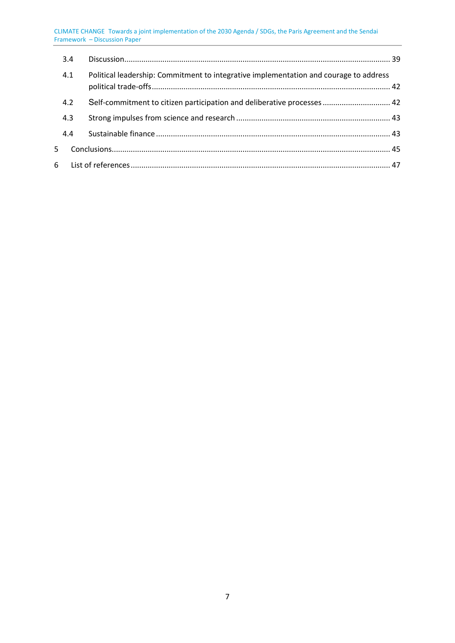|    | 3.4 |                                                                                       |  |
|----|-----|---------------------------------------------------------------------------------------|--|
|    | 4.1 | Political leadership: Commitment to integrative implementation and courage to address |  |
|    | 4.2 | Self-commitment to citizen participation and deliberative processes  42               |  |
|    | 4.3 |                                                                                       |  |
|    | 4.4 |                                                                                       |  |
| 5. |     |                                                                                       |  |
|    |     |                                                                                       |  |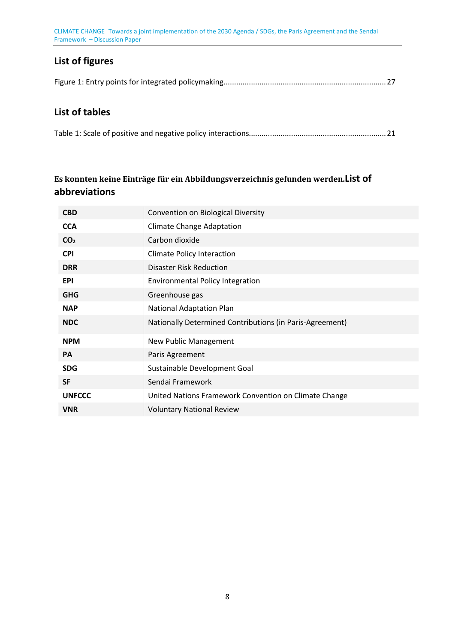# <span id="page-7-0"></span>**List of figures**

<span id="page-7-1"></span>[Figure 1: Entry points for integrated policymaking ............................................................................. 27](#page-26-1)

### **List of tables**

|--|--|

### **Es konnten keine Einträge für ein Abbildungsverzeichnis gefunden werden.List of abbreviations**

<span id="page-7-2"></span>

| <b>CBD</b>      | Convention on Biological Diversity                       |
|-----------------|----------------------------------------------------------|
| <b>CCA</b>      | <b>Climate Change Adaptation</b>                         |
| CO <sub>2</sub> | Carbon dioxide                                           |
| <b>CPI</b>      | Climate Policy Interaction                               |
| <b>DRR</b>      | <b>Disaster Risk Reduction</b>                           |
| <b>EPI</b>      | <b>Environmental Policy Integration</b>                  |
| <b>GHG</b>      | Greenhouse gas                                           |
| <b>NAP</b>      | National Adaptation Plan                                 |
| <b>NDC</b>      | Nationally Determined Contributions (in Paris-Agreement) |
| <b>NPM</b>      | <b>New Public Management</b>                             |
| <b>PA</b>       | Paris Agreement                                          |
| <b>SDG</b>      | Sustainable Development Goal                             |
| <b>SF</b>       | Sendai Framework                                         |
| <b>UNFCCC</b>   | United Nations Framework Convention on Climate Change    |
| <b>VNR</b>      | <b>Voluntary National Review</b>                         |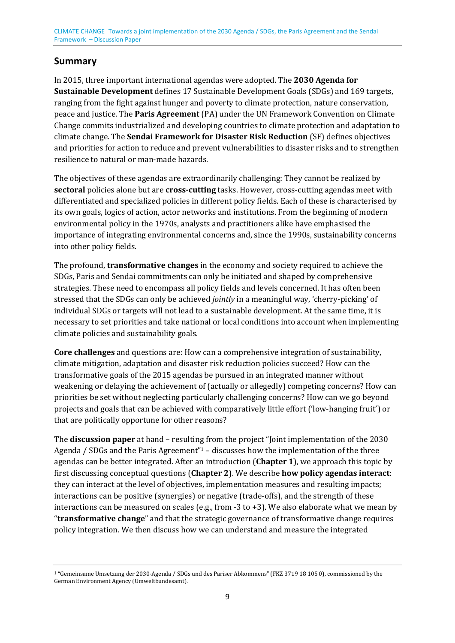# <span id="page-8-0"></span>**Summary**

In 2015, three important international agendas were adopted. The **2030 Agenda for Sustainable Development** defines 17 Sustainable Development Goals (SDGs) and 169 targets, ranging from the fight against hunger and poverty to climate protection, nature conservation, peace and justice. The **Paris Agreement** (PA) under the UN Framework Convention on Climate Change commits industrialized and developing countries to climate protection and adaptation to climate change. The **Sendai Framework for Disaster Risk Reduction** (SF) defines objectives and priorities for action to reduce and prevent vulnerabilities to disaster risks and to strengthen resilience to natural or man-made hazards.

The objectives of these agendas are extraordinarily challenging: They cannot be realized by **sectoral** policies alone but are **cross-cutting** tasks. However, cross-cutting agendas meet with differentiated and specialized policies in different policy fields. Each of these is characterised by its own goals, logics of action, actor networks and institutions. From the beginning of modern environmental policy in the 1970s, analysts and practitioners alike have emphasised the importance of integrating environmental concerns and, since the 1990s, sustainability concerns into other policy fields.

The profound, **transformative changes** in the economy and society required to achieve the SDGs, Paris and Sendai commitments can only be initiated and shaped by comprehensive strategies. These need to encompass all policy fields and levels concerned. It has often been stressed that the SDGs can only be achieved *jointly* in a meaningful way, 'cherry-picking' of individual SDGs or targets will not lead to a sustainable development. At the same time, it is necessary to set priorities and take national or local conditions into account when implementing climate policies and sustainability goals.

**Core challenges** and questions are: How can a comprehensive integration of sustainability, climate mitigation, adaptation and disaster risk reduction policies succeed? How can the transformative goals of the 2015 agendas be pursued in an integrated manner without weakening or delaying the achievement of (actually or allegedly) competing concerns? How can priorities be set without neglecting particularly challenging concerns? How can we go beyond projects and goals that can be achieved with comparatively little effort ('low-hanging fruit') or that are politically opportune for other reasons?

<span id="page-8-2"></span>The **discussion paper** at hand – resultin[g](#page-8-1) from the project "Joint implementation of the 2030 Agenda / SDGs and the Paris Agreement"1 – discusses how the implementation of the three agendas can be better integrated. After an introduction (**Chapter 1**), we approach this topic by first discussing conceptual questions (**Chapter 2**). We describe **how policy agendas interact**: they can interact at the level of objectives, implementation measures and resulting impacts; interactions can be positive (synergies) or negative (trade-offs), and the strength of these interactions can be measured on scales (e.g., from -3 to +3). We also elaborate what we mean by "**transformative change**" and that the strategic governance of transformative change requires policy integration. We then discuss how we can understand and measure the integrated

<span id="page-8-1"></span><sup>1</sup> "Gemeinsame Umsetzung der 2030-Agenda / SDGs und des Pariser Abkommens" (FKZ 3719 18 105 0), commissioned by the [G](#page-8-2)erman Environment Agency (Umweltbundesamt).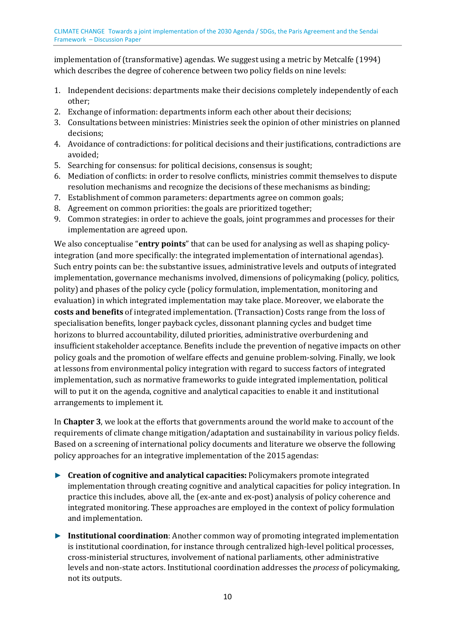implementation of (transformative) agendas. We suggest using a metric by Metcalfe (1994) which describes the degree of coherence between two policy fields on nine levels:

- 1. Independent decisions: departments make their decisions completely independently of each other;
- 2. Exchange of information: departments inform each other about their decisions;
- 3. Consultations between ministries: Ministries seek the opinion of other ministries on planned decisions;
- 4. Avoidance of contradictions: for political decisions and their justifications, contradictions are avoided;
- 5. Searching for consensus: for political decisions, consensus is sought;
- 6. Mediation of conflicts: in order to resolve conflicts, ministries commit themselves to dispute resolution mechanisms and recognize the decisions of these mechanisms as binding;
- 7. Establishment of common parameters: departments agree on common goals;
- 8. Agreement on common priorities: the goals are prioritized together;
- 9. Common strategies: in order to achieve the goals, joint programmes and processes for their implementation are agreed upon.

We also conceptualise "**entry points**" that can be used for analysing as well as shaping policyintegration (and more specifically: the integrated implementation of international agendas). Such entry points can be: the substantive issues, administrative levels and outputs of integrated implementation, governance mechanisms involved, dimensions of policymaking (policy, politics, polity) and phases of the policy cycle (policy formulation, implementation, monitoring and evaluation) in which integrated implementation may take place. Moreover, we elaborate the **costs and benefits** of integrated implementation. (Transaction) Costs range from the loss of specialisation benefits, longer payback cycles, dissonant planning cycles and budget time horizons to blurred accountability, diluted priorities, administrative overburdening and insufficient stakeholder acceptance. Benefits include the prevention of negative impacts on other policy goals and the promotion of welfare effects and genuine problem-solving. Finally, we look at lessons from environmental policy integration with regard to success factors of integrated implementation, such as normative frameworks to guide integrated implementation, political will to put it on the agenda, cognitive and analytical capacities to enable it and institutional arrangements to implement it.

In **Chapter 3**, we look at the efforts that governments around the world make to account of the requirements of climate change mitigation/adaptation and sustainability in various policy fields. Based on a screening of international policy documents and literature we observe the following policy approaches for an integrative implementation of the 2015 agendas:

- ► **Creation of cognitive and analytical capacities:** Policymakers promote integrated implementation through creating cognitive and analytical capacities for policy integration. In practice this includes, above all, the (ex-ante and ex-post) analysis of policy coherence and integrated monitoring. These approaches are employed in the context of policy formulation and implementation.
- ► **Institutional coordination**: Another common way of promoting integrated implementation is institutional coordination, for instance through centralized high-level political processes, cross-ministerial structures, involvement of national parliaments, other administrative levels and non-state actors. Institutional coordination addresses the *process* of policymaking, not its outputs.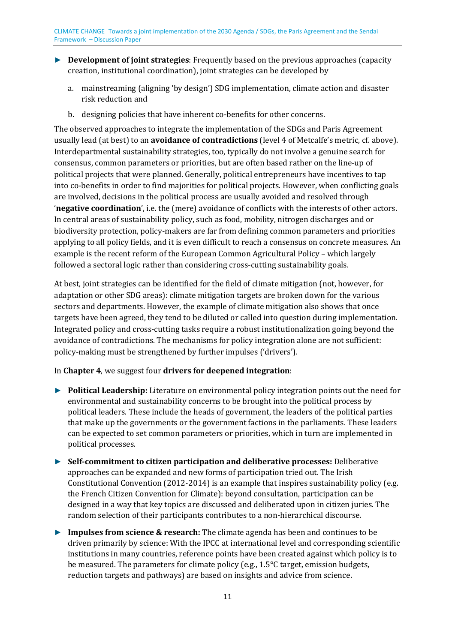- ► **Development of joint strategies**: Frequently based on the previous approaches (capacity creation, institutional coordination), joint strategies can be developed by
	- a. mainstreaming (aligning 'by design') SDG implementation, climate action and disaster risk reduction and
	- b. designing policies that have inherent co-benefits for other concerns.

The observed approaches to integrate the implementation of the SDGs and Paris Agreement usually lead (at best) to an **avoidance of contradictions** (level 4 of Metcalfe's metric, cf. above). Interdepartmental sustainability strategies, too, typically do not involve a genuine search for consensus, common parameters or priorities, but are often based rather on the line-up of political projects that were planned. Generally, political entrepreneurs have incentives to tap into co-benefits in order to find majorities for political projects. However, when conflicting goals are involved, decisions in the political process are usually avoided and resolved through '**negative coordination**', i.e. the (mere) avoidance of conflicts with the interests of other actors. In central areas of sustainability policy, such as food, mobility, nitrogen discharges and or biodiversity protection, policy-makers are far from defining common parameters and priorities applying to all policy fields, and it is even difficult to reach a consensus on concrete measures. An example is the recent reform of the European Common Agricultural Policy – which largely followed a sectoral logic rather than considering cross-cutting sustainability goals.

At best, joint strategies can be identified for the field of climate mitigation (not, however, for adaptation or other SDG areas): climate mitigation targets are broken down for the various sectors and departments. However, the example of climate mitigation also shows that once targets have been agreed, they tend to be diluted or called into question during implementation. Integrated policy and cross-cutting tasks require a robust institutionalization going beyond the avoidance of contradictions. The mechanisms for policy integration alone are not sufficient: policy-making must be strengthened by further impulses ('drivers').

### In **Chapter 4**, we suggest four **drivers for deepened integration**:

- ► **Political Leadership:** Literature on environmental policy integration points out the need for environmental and sustainability concerns to be brought into the political process by political leaders. These include the heads of government, the leaders of the political parties that make up the governments or the government factions in the parliaments. These leaders can be expected to set common parameters or priorities, which in turn are implemented in political processes.
- ► **Self-commitment to citizen participation and deliberative processes:** Deliberative approaches can be expanded and new forms of participation tried out. The Irish Constitutional Convention (2012-2014) is an example that inspires sustainability policy (e.g. the French Citizen Convention for Climate): beyond consultation, participation can be designed in a way that key topics are discussed and deliberated upon in citizen juries. The random selection of their participants contributes to a non-hierarchical discourse.
- ► **Impulses from science & research:** The climate agenda has been and continues to be driven primarily by science: With the IPCC at international level and corresponding scientific institutions in many countries, reference points have been created against which policy is to be measured. The parameters for climate policy (e.g., 1.5°C target, emission budgets, reduction targets and pathways) are based on insights and advice from science.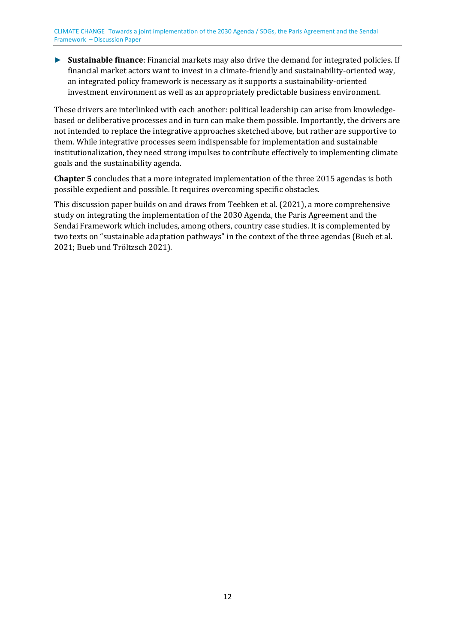► **Sustainable finance**: Financial markets may also drive the demand for integrated policies. If financial market actors want to invest in a climate-friendly and sustainability-oriented way, an integrated policy framework is necessary as it supports a sustainability-oriented investment environment as well as an appropriately predictable business environment.

These drivers are interlinked with each another: political leadership can arise from knowledgebased or deliberative processes and in turn can make them possible. Importantly, the drivers are not intended to replace the integrative approaches sketched above, but rather are supportive to them. While integrative processes seem indispensable for implementation and sustainable institutionalization, they need strong impulses to contribute effectively to implementing climate goals and the sustainability agenda.

**Chapter 5** concludes that a more integrated implementation of the three 2015 agendas is both possible expedient and possible. It requires overcoming specific obstacles.

This discussion paper builds on and draws from Teebken et al. (2021), a more comprehensive study on integrating the implementation of the 2030 Agenda, the Paris Agreement and the Sendai Framework which includes, among others, country case studies. It is complemented by two texts on "sustainable adaptation pathways" in the context of the three agendas (Bueb et al. 2021; Bueb und Tröltzsch 2021).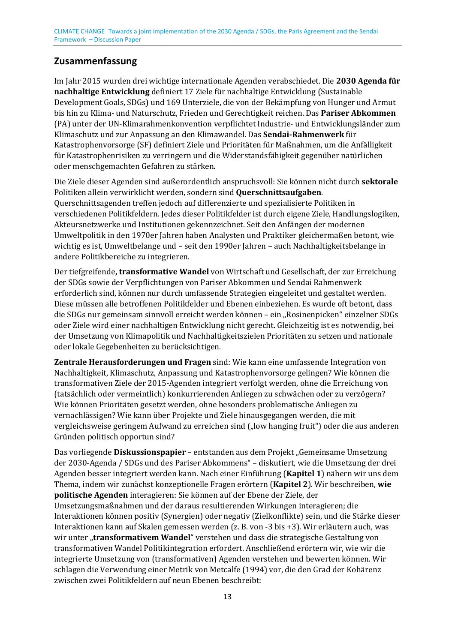# <span id="page-12-0"></span>**Zusammenfassung**

Im Jahr 2015 wurden drei wichtige internationale Agenden verabschiedet. Die **2030 Agenda für nachhaltige Entwicklung** definiert 17 Ziele für nachhaltige Entwicklung (Sustainable Development Goals, SDGs) und 169 Unterziele, die von der Bekämpfung von Hunger und Armut bis hin zu Klima- und Naturschutz, Frieden und Gerechtigkeit reichen. Das **Pariser Abkommen** (PA) unter der UN-Klimarahmenkonvention verpflichtet Industrie- und Entwicklungsländer zum Klimaschutz und zur Anpassung an den Klimawandel. Das **Sendai-Rahmenwerk** für Katastrophenvorsorge (SF) definiert Ziele und Prioritäten für Maßnahmen, um die Anfälligkeit für Katastrophenrisiken zu verringern und die Widerstandsfähigkeit gegenüber natürlichen oder menschgemachten Gefahren zu stärken.

Die Ziele dieser Agenden sind außerordentlich anspruchsvoll: Sie können nicht durch **sektorale** Politiken allein verwirklicht werden, sondern sind **Querschnittsaufgaben**. Querschnittsagenden treffen jedoch auf differenzierte und spezialisierte Politiken in verschiedenen Politikfeldern. Jedes dieser Politikfelder ist durch eigene Ziele, Handlungslogiken, Akteursnetzwerke und Institutionen gekennzeichnet. Seit den Anfängen der modernen Umweltpolitik in den 1970er Jahren haben Analysten und Praktiker gleichermaßen betont, wie wichtig es ist, Umweltbelange und – seit den 1990er Jahren – auch Nachhaltigkeitsbelange in andere Politikbereiche zu integrieren.

Der tiefgreifende**, transformative Wandel** von Wirtschaft und Gesellschaft, der zur Erreichung der SDGs sowie der Verpflichtungen von Pariser Abkommen und Sendai Rahmenwerk erforderlich sind, können nur durch umfassende Strategien eingeleitet und gestaltet werden. Diese müssen alle betroffenen Politikfelder und Ebenen einbeziehen. Es wurde oft betont, dass die SDGs nur gemeinsam sinnvoll erreicht werden können – ein "Rosinenpicken" einzelner SDGs oder Ziele wird einer nachhaltigen Entwicklung nicht gerecht. Gleichzeitig ist es notwendig, bei der Umsetzung von Klimapolitik und Nachhaltigkeitszielen Prioritäten zu setzen und nationale oder lokale Gegebenheiten zu berücksichtigen.

**Zentrale Herausforderungen und Fragen** sind: Wie kann eine umfassende Integration von Nachhaltigkeit, Klimaschutz, Anpassung und Katastrophenvorsorge gelingen? Wie können die transformativen Ziele der 2015-Agenden integriert verfolgt werden, ohne die Erreichung von (tatsächlich oder vermeintlich) konkurrierenden Anliegen zu schwächen oder zu verzögern? Wie können Prioritäten gesetzt werden, ohne besonders problematische Anliegen zu vernachlässigen? Wie kann über Projekte und Ziele hinausgegangen werden, die mit vergleichsweise geringem Aufwand zu erreichen sind ("low hanging fruit") oder die aus anderen Gründen politisch opportun sind?

Das vorliegende **Diskussionspapier** – entstanden aus dem Projekt "Gemeinsame Umsetzung der 2030-Agenda / SDGs und des Pariser Abkommens" – diskutiert, wie die Umsetzung der drei Agenden besser integriert werden kann. Nach einer Einführung (**Kapitel 1**) nähern wir uns dem Thema, indem wir zunächst konzeptionelle Fragen erörtern (**Kapitel 2**). Wir beschreiben, **wie politische Agenden** interagieren: Sie können auf der Ebene der Ziele, der

Umsetzungsmaßnahmen und der daraus resultierenden Wirkungen interagieren; die Interaktionen können positiv (Synergien) oder negativ (Zielkonflikte) sein, und die Stärke dieser Interaktionen kann auf Skalen gemessen werden (z. B. von -3 bis +3). Wir erläutern auch, was wir unter "**transformativem Wandel**" verstehen und dass die strategische Gestaltung von transformativen Wandel Politikintegration erfordert. Anschließend erörtern wir, wie wir die integrierte Umsetzung von (transformativen) Agenden verstehen und bewerten können. Wir schlagen die Verwendung einer Metrik von Metcalfe (1994) vor, die den Grad der Kohärenz zwischen zwei Politikfeldern auf neun Ebenen beschreibt: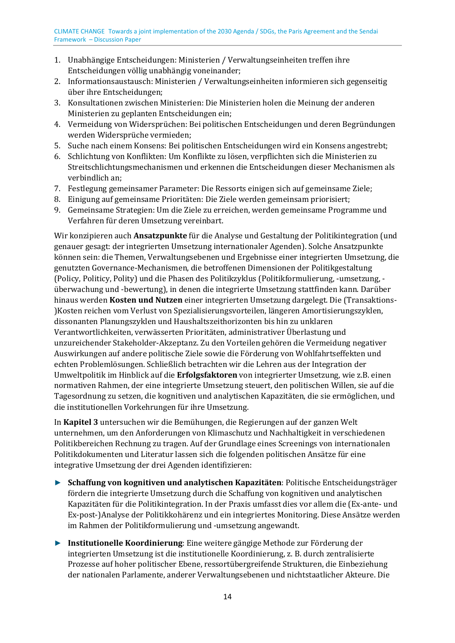- 1. Unabhängige Entscheidungen: Ministerien / Verwaltungseinheiten treffen ihre Entscheidungen völlig unabhängig voneinander;
- 2. Informationsaustausch: Ministerien / Verwaltungseinheiten informieren sich gegenseitig über ihre Entscheidungen;
- 3. Konsultationen zwischen Ministerien: Die Ministerien holen die Meinung der anderen Ministerien zu geplanten Entscheidungen ein;
- 4. Vermeidung von Widersprüchen: Bei politischen Entscheidungen und deren Begründungen werden Widersprüche vermieden;
- 5. Suche nach einem Konsens: Bei politischen Entscheidungen wird ein Konsens angestrebt;
- 6. Schlichtung von Konflikten: Um Konflikte zu lösen, verpflichten sich die Ministerien zu Streitschlichtungsmechanismen und erkennen die Entscheidungen dieser Mechanismen als verbindlich an;
- 7. Festlegung gemeinsamer Parameter: Die Ressorts einigen sich auf gemeinsame Ziele;
- 8. Einigung auf gemeinsame Prioritäten: Die Ziele werden gemeinsam priorisiert;
- 9. Gemeinsame Strategien: Um die Ziele zu erreichen, werden gemeinsame Programme und Verfahren für deren Umsetzung vereinbart.

Wir konzipieren auch **Ansatzpunkte** für die Analyse und Gestaltung der Politikintegration (und genauer gesagt: der integrierten Umsetzung internationaler Agenden). Solche Ansatzpunkte können sein: die Themen, Verwaltungsebenen und Ergebnisse einer integrierten Umsetzung, die genutzten Governance-Mechanismen, die betroffenen Dimensionen der Politikgestaltung (Policy, Politicy, Polity) und die Phasen des Politikzyklus (Politikformulierung, -umsetzung, überwachung und -bewertung), in denen die integrierte Umsetzung stattfinden kann. Darüber hinaus werden **Kosten und Nutzen** einer integrierten Umsetzung dargelegt. Die (Transaktions- )Kosten reichen vom Verlust von Spezialisierungsvorteilen, längeren Amortisierungszyklen, dissonanten Planungszyklen und Haushaltszeithorizonten bis hin zu unklaren Verantwortlichkeiten, verwässerten Prioritäten, administrativer Überlastung und unzureichender Stakeholder-Akzeptanz. Zu den Vorteilen gehören die Vermeidung negativer Auswirkungen auf andere politische Ziele sowie die Förderung von Wohlfahrtseffekten und echten Problemlösungen. Schließlich betrachten wir die Lehren aus der Integration der Umweltpolitik im Hinblick auf die **Erfolgsfaktoren** von integrierter Umsetzung, wie z.B. einen normativen Rahmen, der eine integrierte Umsetzung steuert, den politischen Willen, sie auf die Tagesordnung zu setzen, die kognitiven und analytischen Kapazitäten, die sie ermöglichen, und die institutionellen Vorkehrungen für ihre Umsetzung.

In **Kapitel 3** untersuchen wir die Bemühungen, die Regierungen auf der ganzen Welt unternehmen, um den Anforderungen von Klimaschutz und Nachhaltigkeit in verschiedenen Politikbereichen Rechnung zu tragen. Auf der Grundlage eines Screenings von internationalen Politikdokumenten und Literatur lassen sich die folgenden politischen Ansätze für eine integrative Umsetzung der drei Agenden identifizieren:

- ► **Schaffung von kognitiven und analytischen Kapazitäten**: Politische Entscheidungsträger fördern die integrierte Umsetzung durch die Schaffung von kognitiven und analytischen Kapazitäten für die Politikintegration. In der Praxis umfasst dies vor allem die (Ex-ante- und Ex-post-)Analyse der Politikkohärenz und ein integriertes Monitoring. Diese Ansätze werden im Rahmen der Politikformulierung und -umsetzung angewandt.
- ► **Institutionelle Koordinierung**: Eine weitere gängige Methode zur Förderung der integrierten Umsetzung ist die institutionelle Koordinierung, z. B. durch zentralisierte Prozesse auf hoher politischer Ebene, ressortübergreifende Strukturen, die Einbeziehung der nationalen Parlamente, anderer Verwaltungsebenen und nichtstaatlicher Akteure. Die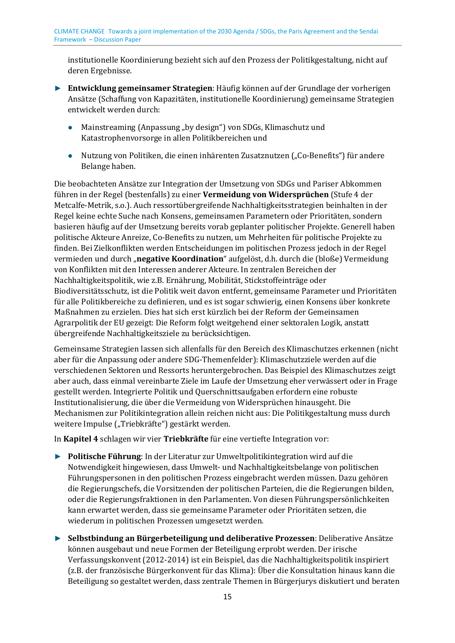institutionelle Koordinierung bezieht sich auf den Prozess der Politikgestaltung, nicht auf deren Ergebnisse.

- ► **Entwicklung gemeinsamer Strategien**: Häufig können auf der Grundlage der vorherigen Ansätze (Schaffung von Kapazitäten, institutionelle Koordinierung) gemeinsame Strategien entwickelt werden durch:
	- Mainstreaming (Anpassung "by design") von SDGs, Klimaschutz und Katastrophenvorsorge in allen Politikbereichen und
	- Nutzung von Politiken, die einen inhärenten Zusatznutzen ("Co-Benefits") für andere Belange haben.

Die beobachteten Ansätze zur Integration der Umsetzung von SDGs und Pariser Abkommen führen in der Regel (bestenfalls) zu einer **Vermeidung von Widersprüchen** (Stufe 4 der Metcalfe-Metrik, s.o.). Auch ressortübergreifende Nachhaltigkeitsstrategien beinhalten in der Regel keine echte Suche nach Konsens, gemeinsamen Parametern oder Prioritäten, sondern basieren häufig auf der Umsetzung bereits vorab geplanter politischer Projekte. Generell haben politische Akteure Anreize, Co-Benefits zu nutzen, um Mehrheiten für politische Projekte zu finden. Bei Zielkonflikten werden Entscheidungen im politischen Prozess jedoch in der Regel vermieden und durch "**negative Koordination**" aufgelöst, d.h. durch die (bloße) Vermeidung von Konflikten mit den Interessen anderer Akteure. In zentralen Bereichen der Nachhaltigkeitspolitik, wie z.B. Ernährung, Mobilität, Stickstoffeinträge oder Biodiversitätsschutz, ist die Politik weit davon entfernt, gemeinsame Parameter und Prioritäten für alle Politikbereiche zu definieren, und es ist sogar schwierig, einen Konsens über konkrete Maßnahmen zu erzielen. Dies hat sich erst kürzlich bei der Reform der Gemeinsamen Agrarpolitik der EU gezeigt: Die Reform folgt weitgehend einer sektoralen Logik, anstatt übergreifende Nachhaltigkeitsziele zu berücksichtigen.

Gemeinsame Strategien lassen sich allenfalls für den Bereich des Klimaschutzes erkennen (nicht aber für die Anpassung oder andere SDG-Themenfelder): Klimaschutzziele werden auf die verschiedenen Sektoren und Ressorts heruntergebrochen. Das Beispiel des Klimaschutzes zeigt aber auch, dass einmal vereinbarte Ziele im Laufe der Umsetzung eher verwässert oder in Frage gestellt werden. Integrierte Politik und Querschnittsaufgaben erfordern eine robuste Institutionalisierung, die über die Vermeidung von Widersprüchen hinausgeht. Die Mechanismen zur Politikintegration allein reichen nicht aus: Die Politikgestaltung muss durch weitere Impulse ("Triebkräfte") gestärkt werden.

In **Kapitel 4** schlagen wir vier **Triebkräfte** für eine vertiefte Integration vor:

- ► **Politische Führung**: In der Literatur zur Umweltpolitikintegration wird auf die Notwendigkeit hingewiesen, dass Umwelt- und Nachhaltigkeitsbelange von politischen Führungspersonen in den politischen Prozess eingebracht werden müssen. Dazu gehören die Regierungschefs, die Vorsitzenden der politischen Parteien, die die Regierungen bilden, oder die Regierungsfraktionen in den Parlamenten. Von diesen Führungspersönlichkeiten kann erwartet werden, dass sie gemeinsame Parameter oder Prioritäten setzen, die wiederum in politischen Prozessen umgesetzt werden.
- ► **Selbstbindung an Bürgerbeteiligung und deliberative Prozessen**: Deliberative Ansätze können ausgebaut und neue Formen der Beteiligung erprobt werden. Der irische Verfassungskonvent (2012-2014) ist ein Beispiel, das die Nachhaltigkeitspolitik inspiriert (z.B. der französische Bürgerkonvent für das Klima): Über die Konsultation hinaus kann die Beteiligung so gestaltet werden, dass zentrale Themen in Bürgerjurys diskutiert und beraten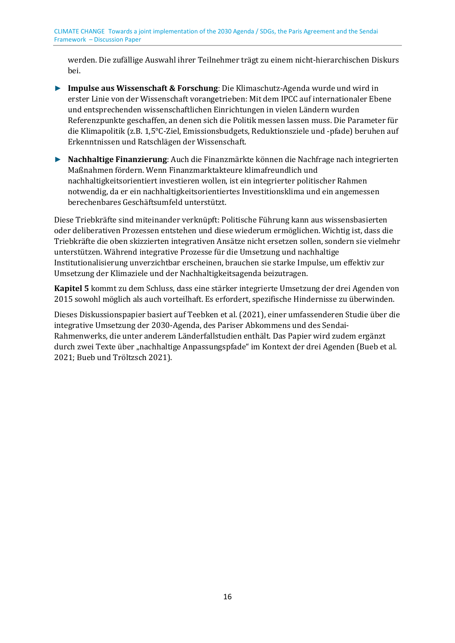werden. Die zufällige Auswahl ihrer Teilnehmer trägt zu einem nicht-hierarchischen Diskurs bei.

- ► **Impulse aus Wissenschaft & Forschung**: Die Klimaschutz-Agenda wurde und wird in erster Linie von der Wissenschaft vorangetrieben: Mit dem IPCC auf internationaler Ebene und entsprechenden wissenschaftlichen Einrichtungen in vielen Ländern wurden Referenzpunkte geschaffen, an denen sich die Politik messen lassen muss. Die Parameter für die Klimapolitik (z.B. 1,5°C-Ziel, Emissionsbudgets, Reduktionsziele und -pfade) beruhen auf Erkenntnissen und Ratschlägen der Wissenschaft.
- ► **Nachhaltige Finanzierung**: Auch die Finanzmärkte können die Nachfrage nach integrierten Maßnahmen fördern. Wenn Finanzmarktakteure klimafreundlich und nachhaltigkeitsorientiert investieren wollen, ist ein integrierter politischer Rahmen notwendig, da er ein nachhaltigkeitsorientiertes Investitionsklima und ein angemessen berechenbares Geschäftsumfeld unterstützt.

Diese Triebkräfte sind miteinander verknüpft: Politische Führung kann aus wissensbasierten oder deliberativen Prozessen entstehen und diese wiederum ermöglichen. Wichtig ist, dass die Triebkräfte die oben skizzierten integrativen Ansätze nicht ersetzen sollen, sondern sie vielmehr unterstützen. Während integrative Prozesse für die Umsetzung und nachhaltige Institutionalisierung unverzichtbar erscheinen, brauchen sie starke Impulse, um effektiv zur Umsetzung der Klimaziele und der Nachhaltigkeitsagenda beizutragen.

**Kapitel 5** kommt zu dem Schluss, dass eine stärker integrierte Umsetzung der drei Agenden von 2015 sowohl möglich als auch vorteilhaft. Es erfordert, spezifische Hindernisse zu überwinden.

Dieses Diskussionspapier basiert auf Teebken et al. (2021), einer umfassenderen Studie über die integrative Umsetzung der 2030-Agenda, des Pariser Abkommens und des Sendai-Rahmenwerks, die unter anderem Länderfallstudien enthält. Das Papier wird zudem ergänzt durch zwei Texte über "nachhaltige Anpassungspfade" im Kontext der drei Agenden (Bueb et al. 2021; Bueb und Tröltzsch 2021).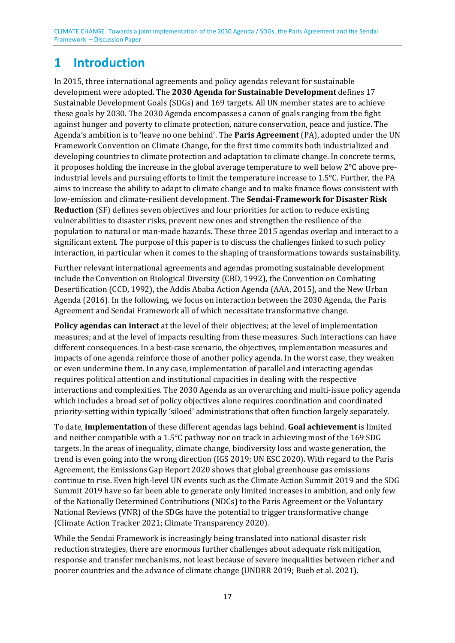# <span id="page-16-0"></span>**1 Introduction**

In 2015, three international agreements and policy agendas relevant for sustainable development were adopted. The **2030 Agenda for Sustainable Development** defines 17 Sustainable Development Goals (SDGs) and 169 targets. All UN member states are to achieve these goals by 2030. The 2030 Agenda encompasses a canon of goals ranging from the fight against hunger and poverty to climate protection, nature conservation, peace and justice. The Agenda's ambition is to 'leave no one behind'. The **Paris Agreement** (PA), adopted under the UN Framework Convention on Climate Change, for the first time commits both industrialized and developing countries to climate protection and adaptation to climate change. In concrete terms, it proposes holding the increase in the global average temperature to well below 2°C above preindustrial levels and pursuing efforts to limit the temperature increase to 1.5°C. Further, the PA aims to increase the ability to adapt to climate change and to make finance flows consistent with low-emission and climate-resilient development. The **Sendai-Framework for Disaster Risk Reduction** (SF) defines seven objectives and four priorities for action to reduce existing vulnerabilities to disaster risks, prevent new ones and strengthen the resilience of the population to natural or man-made hazards. These three 2015 agendas overlap and interact to a significant extent. The purpose of this paper is to discuss the challenges linked to such policy interaction, in particular when it comes to the shaping of transformations towards sustainability.

Further relevant international agreements and agendas promoting sustainable development include the Convention on Biological Diversity (CBD, 1992), the Convention on Combating Desertification (CCD, 1992), the Addis Ababa Action Agenda (AAA, 2015), and the New Urban Agenda (2016). In the following, we focus on interaction between the 2030 Agenda, the Paris Agreement and Sendai Framework all of which necessitate transformative change.

**Policy agendas can interact** at the level of their objectives; at the level of implementation measures; and at the level of impacts resulting from these measures. Such interactions can have different consequences. In a best-case scenario, the objectives, implementation measures and impacts of one agenda reinforce those of another policy agenda. In the worst case, they weaken or even undermine them. In any case, implementation of parallel and interacting agendas requires political attention and institutional capacities in dealing with the respective interactions and complexities. The 2030 Agenda as an overarching and multi-issue policy agenda which includes a broad set of policy objectives alone requires coordination and coordinated priority-setting within typically 'siloed' administrations that often function largely separately.

To date, **implementation** of these different agendas lags behind. **Goal achievement** is limited and neither compatible with a 1.5°C pathway nor on track in achieving most of the 169 SDG targets. In the areas of inequality, climate change, biodiversity loss and waste generation, the trend is even going into the wrong direction (IGS 2019; UN ESC 2020). With regard to the Paris Agreement, the Emissions Gap Report 2020 shows that global greenhouse gas emissions continue to rise. Even high-level UN events such as the Climate Action Summit 2019 and the SDG Summit 2019 have so far been able to generate only limited increases in ambition, and only few of the Nationally Determined Contributions (NDCs) to the Paris Agreement or the Voluntary National Reviews (VNR) of the SDGs have the potential to trigger transformative change (Climate Action Tracker 2021; Climate Transparency 2020).

While the Sendai Framework is increasingly being translated into national disaster risk reduction strategies, there are enormous further challenges about adequate risk mitigation, response and transfer mechanisms, not least because of severe inequalities between richer and poorer countries and the advance of climate change (UNDRR 2019; Bueb et al. 2021).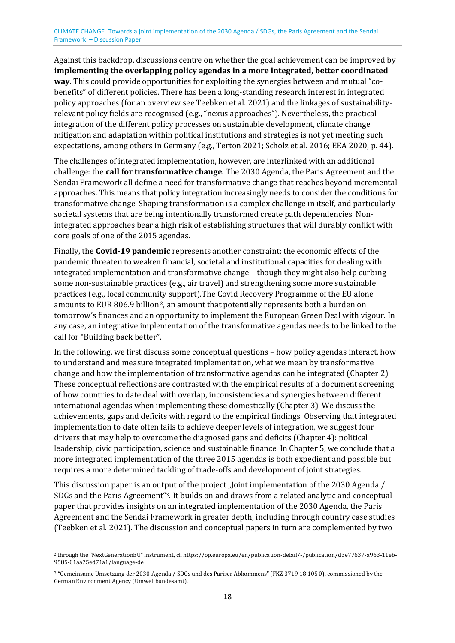Against this backdrop, discussions centre on whether the goal achievement can be improved by **implementing the overlapping policy agendas in a more integrated, better coordinated way**. This could provide opportunities for exploiting the synergies between and mutual "cobenefits" of different policies. There has been a long-standing research interest in integrated policy approaches (for an overview see Teebken et al. 2021) and the linkages of sustainabilityrelevant policy fields are recognised (e.g., "nexus approaches"). Nevertheless, the practical integration of the different policy processes on sustainable development, climate change mitigation and adaptation within political institutions and strategies is not yet meeting such expectations, among others in Germany (e.g., Terton 2021; Scholz et al. 2016; EEA 2020, p. 44).

The challenges of integrated implementation, however, are interlinked with an additional challenge: the **call for transformative change**. The 2030 Agenda, the Paris Agreement and the Sendai Framework all define a need for transformative change that reaches beyond incremental approaches. This means that policy integration increasingly needs to consider the conditions for transformative change. Shaping transformation is a complex challenge in itself, and particularly societal systems that are being intentionally transformed create path dependencies. Nonintegrated approaches bear a high risk of establishing structures that will durably conflict with core goals of one of the 2015 agendas.

<span id="page-17-2"></span>Finally, the **Covid-19 pandemic** represents another constraint: the economic effects of the pandemic threaten to weaken financial, societal and institutional capacities for dealing with integrated implementation and transformative change – though they might also help curbing some non-sustainable practices (e.g., air travel) and strengthening some more sustainable practices (e.g., local communi[ty](#page-17-0) support).The Covid Recovery Programme of the EU alone amounts to EUR 806.9 billion<sup>2</sup>, an amount that potentially represents both a burden on tomorrow's finances and an opportunity to implement the European Green Deal with vigour. In any case, an integrative implementation of the transformative agendas needs to be linked to the call for "Building back better".

In the following, we first discuss some conceptual questions – how policy agendas interact, how to understand and measure integrated implementation, what we mean by transformative change and how the implementation of transformative agendas can be integrated (Chapter 2). These conceptual reflections are contrasted with the empirical results of a document screening of how countries to date deal with overlap, inconsistencies and synergies between different international agendas when implementing these domestically (Chapter 3). We discuss the achievements, gaps and deficits with regard to the empirical findings. Observing that integrated implementation to date often fails to achieve deeper levels of integration, we suggest four drivers that may help to overcome the diagnosed gaps and deficits (Chapter 4): political leadership, civic participation, science and sustainable finance. In Chapter 5, we conclude that a more integrated implementation of the three 2015 agendas is both expedient and possible but requires a more determined tackling of trade-offs and development of joint strategies.

<span id="page-17-3"></span>This discussion paper is an out[pu](#page-17-1)t of the project "Joint implementation of the 2030 Agenda / SDGs and the Paris Agreement"3. It builds on and draws from a related analytic and conceptual paper that provides insights on an integrated implementation of the 2030 Agenda, the Paris Agreement and the Sendai Framework in greater depth, including through country case studies (Teebken et al. 2021). The discussion and conceptual papers in turn are complemented by two

<span id="page-17-1"></span><span id="page-17-0"></span><sup>2</sup> through the "NextGenerationEU" instrument, cf. https://op.europa.eu/en/publication-detail/-/publication/d3e77637-a963-11eb-[9](#page-17-2)585-01aa75ed71a1/language-de

<sup>3</sup> "Gemeinsame Umsetzung der 2030-Agenda / SDGs und des Pariser Abkommens" (FKZ 3719 18 105 0), commissioned by the [G](#page-17-3)erman Environment Agency (Umweltbundesamt).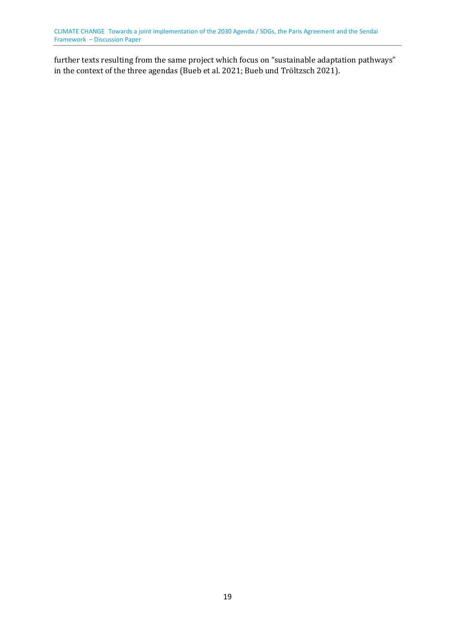further texts resulting from the same project which focus on "sustainable adaptation pathways" in the context of the three agendas (Bueb et al. 2021; Bueb und Tröltzsch 2021).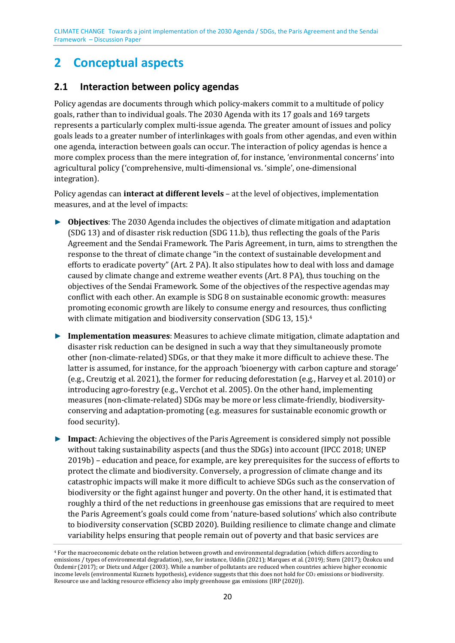# **2 Conceptual aspects**

### <span id="page-19-0"></span>**2.1 Interaction between policy agendas**

Policy agendas are documents through which policy-makers commit to a multitude of policy goals, rather than to individual goals. The 2030 Agenda with its 17 goals and 169 targets represents a particularly complex multi-issue agenda. The greater amount of issues and policy goals leads to a greater number of interlinkages with goals from other agendas, and even within one agenda, interaction between goals can occur. The interaction of policy agendas is hence a more complex process than the mere integration of, for instance, 'environmental concerns' into agricultural policy ('comprehensive, multi-dimensional vs. 'simple', one-dimensional integration).

Policy agendas can **interact at different levels** – at the level of objectives, implementation measures, and at the level of impacts:

- ► **Objectives**: The 2030 Agenda includes the objectives of climate mitigation and adaptation (SDG 13) and of disaster risk reduction (SDG 11.b), thus reflecting the goals of the Paris Agreement and the Sendai Framework. The Paris Agreement, in turn, aims to strengthen the response to the threat of climate change "in the context of sustainable development and efforts to eradicate poverty" (Art. 2 PA). It also stipulates how to deal with loss and damage caused by climate change and extreme weather events (Art. 8 PA), thus touching on the objectives of the Sendai Framework. Some of the objectives of the respective agendas may conflict with each other. An example is SDG 8 on sustainable economic growth: measures promoting economic growth are likely to consume energy and reso[u](#page-19-1)rces, thus conflicting with climate mitigation and biodiversity conservation (SDG 13, 15).<sup>4</sup>
- <span id="page-19-3"></span><span id="page-19-2"></span>► **Implementation measures**: Measures to achieve climate mitigation, climate adaptation and disaster risk reduction can be designed in such a way that they simultaneously promote other (non-climate-related) SDGs, or that they make it more difficult to achieve these. The latter is assumed, for instance, for the approach 'bioenergy with carbon capture and storage' (e.g., Creutzig et al. 2021), the former for reducing deforestation (e.g., Harvey et al. 2010) or introducing agro-forestry (e.g., Verchot et al. 2005). On the other hand, implementing measures (non-climate-related) SDGs may be more or less climate-friendly, biodiversityconserving and adaptation-promoting (e.g. measures for sustainable economic growth or food security).
- ► **Impact**: Achieving the objectives of the Paris Agreement is considered simply not possible without taking sustainability aspects (and thus the SDGs) into account (IPCC 2018; UNEP 2019b) – education and peace, for example, are key prerequisites for the success of efforts to protect the climate and biodiversity. Conversely, a progression of climate change and its catastrophic impacts will make it more difficult to achieve SDGs such as the conservation of biodiversity or the fight against hunger and poverty. On the other hand, it is estimated that roughly a third of the net reductions in greenhouse gas emissions that are required to meet the Paris Agreement's goals could come from 'nature-based solutions' which also contribute to biodiversity conservation (SCBD 2020). Building resilience to climate change and climate variability helps ensuring that people remain out of poverty and that basic services are

<span id="page-19-1"></span><sup>4</sup> For the macroeconomic debate on the relation between growth and environmental degradation (which differs according to [e](#page-19-2)missions / types of environmental degradation), see, for instance, Uddin (2021); Marques et al. (2019); Stern (2017); Özokcu und Özdemir (2017); or Dietz und Adger (2003). While a number of pollutants are reduced when countries achieve higher economic income levels (environmental Kuznets hypothesis), evidence suggests that this does not hold for CO<sub>2</sub> emissions or biodiversity. Resource use and lacking resource efficiency also imply greenhouse gas emissions (IRP (2020)).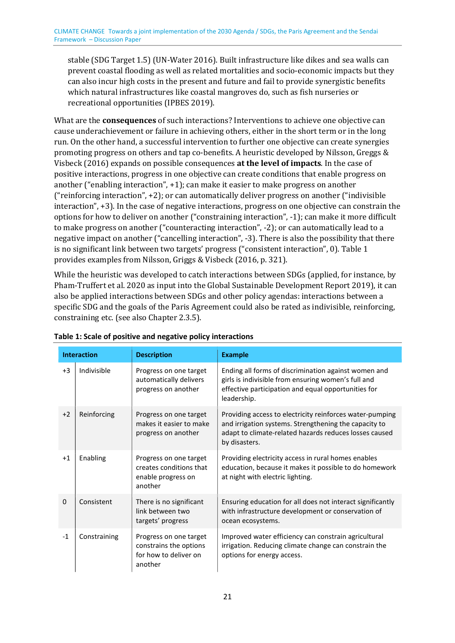stable (SDG Target 1.5) (UN-Water 2016). Built infrastructure like dikes and sea walls can prevent coastal flooding as well as related mortalities and socio-economic impacts but they can also incur high costs in the present and future and fail to provide synergistic benefits which natural infrastructures like coastal mangroves do, such as fish nurseries or recreational opportunities (IPBES 2019).

What are the **consequences** of such interactions? Interventions to achieve one objective can cause underachievement or failure in achieving others, either in the short term or in the long run. On the other hand, a successful intervention to further one objective can create synergies promoting progress on others and tap co-benefits. A heuristic developed by Nilsson, Greggs & Visbeck (2016) expands on possible consequences **at the level of impacts**. In the case of positive interactions, progress in one objective can create conditions that enable progress on another ("enabling interaction", +1); can make it easier to make progress on another ("reinforcing interaction", +2); or can automatically deliver progress on another ("indivisible interaction", +3). In the case of negative interactions, progress on one objective can constrain the options for how to deliver on another ("constraining interaction", -1); can make it more difficult to make progress on another ("counteracting interaction", -2); or can automatically lead to a negative impact on another ("cancelling interaction", -3). There is also the possibility that there is no significant link between two targets' progress ("consistent interaction", 0)[. Table 1](#page-20-0) provides examples from Nilsson, Griggs & Visbeck (2016, p. 321).

While the heuristic was developed to catch interactions between SDGs (applied, for instance, by Pham-Truffert et al. 2020 as input into the Global Sustainable Development Report 2019), it can also be applied interactions between SDGs and other policy agendas: interactions between a specific SDG and the goals of the Paris Agreement could also be rated as indivisible, reinforcing, constraining etc. (see also Chapter [2.3.5\)](#page-28-0).

| <b>Interaction</b> |              | <b>Description</b>                                                                   | <b>Example</b>                                                                                                                                                                               |
|--------------------|--------------|--------------------------------------------------------------------------------------|----------------------------------------------------------------------------------------------------------------------------------------------------------------------------------------------|
| $+3$               | Indivisible  | Progress on one target<br>automatically delivers<br>progress on another              | Ending all forms of discrimination against women and<br>girls is indivisible from ensuring women's full and<br>effective participation and equal opportunities for<br>leadership.            |
| $+2$               | Reinforcing  | Progress on one target<br>makes it easier to make<br>progress on another             | Providing access to electricity reinforces water-pumping<br>and irrigation systems. Strengthening the capacity to<br>adapt to climate-related hazards reduces losses caused<br>by disasters. |
| $+1$               | Enabling     | Progress on one target<br>creates conditions that<br>enable progress on<br>another   | Providing electricity access in rural homes enables<br>education, because it makes it possible to do homework<br>at night with electric lighting.                                            |
| $\Omega$           | Consistent   | There is no significant<br>link between two<br>targets' progress                     | Ensuring education for all does not interact significantly<br>with infrastructure development or conservation of<br>ocean ecosystems.                                                        |
| $-1$               | Constraining | Progress on one target<br>constrains the options<br>for how to deliver on<br>another | Improved water efficiency can constrain agricultural<br>irrigation. Reducing climate change can constrain the<br>options for energy access.                                                  |

<span id="page-20-0"></span>**Table 1: Scale of positive and negative policy interactions**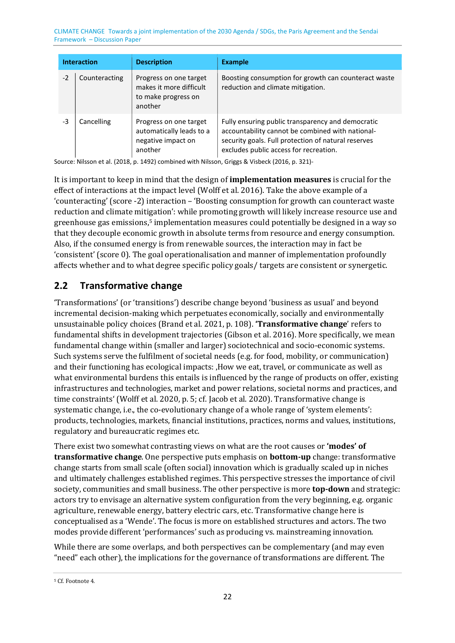| <b>Interaction</b> |               | <b>Description</b>                                                                  | <b>Example</b>                                                                                                                                                                                         |
|--------------------|---------------|-------------------------------------------------------------------------------------|--------------------------------------------------------------------------------------------------------------------------------------------------------------------------------------------------------|
| $-2$               | Counteracting | Progress on one target<br>makes it more difficult<br>to make progress on<br>another | Boosting consumption for growth can counteract waste<br>reduction and climate mitigation.                                                                                                              |
| -3                 | Cancelling    | Progress on one target<br>automatically leads to a<br>negative impact on<br>another | Fully ensuring public transparency and democratic<br>accountability cannot be combined with national-<br>security goals. Full protection of natural reserves<br>excludes public access for recreation. |

Source: Nilsson et al. (2018, p. 1492) combined with Nilsson, Griggs & Visbeck (2016, p. 321)-

<span id="page-21-2"></span>It is important to keep in mind that the design of **implementation measures** is crucial for the effect of interactions at the impact level (Wolff et al. 2016). Take the above example of a 'counteracting' (score -2) interaction – 'Boosting consumption for growth can counteract waste reduction and climate mit[ig](#page-21-1)ation': while promoting growth will likely increase resource use and greenhouse gas emissions,5 implementation measures could potentially be designed in a way so that they decouple economic growth in absolute terms from resource and energy consumption. Also, if the consumed energy is from renewable sources, the interaction may in fact be 'consistent' (score 0). The goal operationalisation and manner of implementation profoundly affects whether and to what degree specific policy goals/ targets are consistent or synergetic.

### <span id="page-21-0"></span>**2.2 Transformative change**

'Transformations' (or 'transitions') describe change beyond 'business as usual' and beyond incremental decision-making which perpetuates economically, socially and environmentally unsustainable policy choices (Brand et al. 2021, p. 108). **'Transformative change**' refers to fundamental shifts in development trajectories (Gibson et al. 2016). More specifically, we mean fundamental change within (smaller and larger) sociotechnical and socio-economic systems. Such systems serve the fulfilment of societal needs (e.g. for food, mobility, or communication) and their functioning has ecological impacts: , How we eat, travel, or communicate as well as what environmental burdens this entails is influenced by the range of products on offer, existing infrastructures and technologies, market and power relations, societal norms and practices, and time constraints' (Wolff et al. 2020, p. 5; cf. Jacob et al. 2020). Transformative change is systematic change, i.e., the co-evolutionary change of a whole range of 'system elements': products, technologies, markets, financial institutions, practices, norms and values, institutions, regulatory and bureaucratic regimes etc.

There exist two somewhat contrasting views on what are the root causes or **'modes' of transformative change**. One perspective puts emphasis on **bottom-up** change: transformative change starts from small scale (often social) innovation which is gradually scaled up in niches and ultimately challenges established regimes. This perspective stresses the importance of civil society, communities and small business. The other perspective is more **top-down** and strategic: actors try to envisage an alternative system configuration from the very beginning, e.g. organic agriculture, renewable energy, battery electric cars, etc. Transformative change here is conceptualised as a 'Wende'. The focus is more on established structures and actors. The two modes provide different 'performances' such as producing vs. mainstreaming innovation.

While there are some overlaps, and both perspectives can be complementary (and may even "need" each other), the implications for the governance of transformations are different. The

<span id="page-21-1"></span>[5](#page-21-2) Cf. Footnot[e 4.](#page-19-3)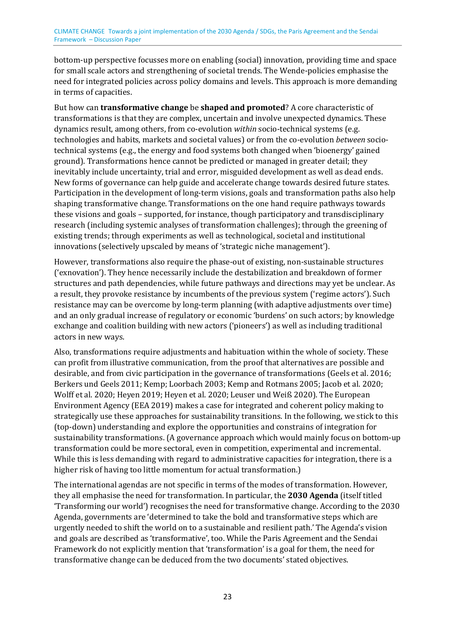bottom-up perspective focusses more on enabling (social) innovation, providing time and space for small scale actors and strengthening of societal trends. The Wende-policies emphasise the need for integrated policies across policy domains and levels. This approach is more demanding in terms of capacities.

But how can **transformative change** be **shaped and promoted**? A core characteristic of transformations is that they are complex, uncertain and involve unexpected dynamics. These dynamics result, among others, from co-evolution *within* socio-technical systems (e.g. technologies and habits, markets and societal values) or from the co-evolution *between* sociotechnical systems (e.g., the energy and food systems both changed when 'bioenergy' gained ground). Transformations hence cannot be predicted or managed in greater detail; they inevitably include uncertainty, trial and error, misguided development as well as dead ends. New forms of governance can help guide and accelerate change towards desired future states. Participation in the development of long-term visions, goals and transformation paths also help shaping transformative change. Transformations on the one hand require pathways towards these visions and goals – supported, for instance, though participatory and transdisciplinary research (including systemic analyses of transformation challenges); through the greening of existing trends; through experiments as well as technological, societal and institutional innovations (selectively upscaled by means of 'strategic niche management').

However, transformations also require the phase-out of existing, non-sustainable structures ('exnovation'). They hence necessarily include the destabilization and breakdown of former structures and path dependencies, while future pathways and directions may yet be unclear. As a result, they provoke resistance by incumbents of the previous system ('regime actors'). Such resistance may can be overcome by long-term planning (with adaptive adjustments over time) and an only gradual increase of regulatory or economic 'burdens' on such actors; by knowledge exchange and coalition building with new actors ('pioneers') as well as including traditional actors in new ways.

Also, transformations require adjustments and habituation within the whole of society. These can profit from illustrative communication, from the proof that alternatives are possible and desirable, and from civic participation in the governance of transformations (Geels et al. 2016; Berkers und Geels 2011; Kemp; Loorbach 2003; Kemp and Rotmans 2005; Jacob et al. 2020; Wolff et al. 2020; Heyen 2019; Heyen et al. 2020; Leuser und Weiß 2020). The European Environment Agency (EEA 2019) makes a case for integrated and coherent policy making to strategically use these approaches for sustainability transitions. In the following, we stick to this (top-down) understanding and explore the opportunities and constrains of integration for sustainability transformations. (A governance approach which would mainly focus on bottom-up transformation could be more sectoral, even in competition, experimental and incremental. While this is less demanding with regard to administrative capacities for integration, there is a higher risk of having too little momentum for actual transformation.)

The international agendas are not specific in terms of the modes of transformation. However, they all emphasise the need for transformation. In particular, the **2030 Agenda** (itself titled 'Transforming our world') recognises the need for transformative change. According to the 2030 Agenda, governments are 'determined to take the bold and transformative steps which are urgently needed to shift the world on to a sustainable and resilient path.' The Agenda's vision and goals are described as 'transformative', too. While the Paris Agreement and the Sendai Framework do not explicitly mention that 'transformation' is a goal for them, the need for transformative change can be deduced from the two documents' stated objectives.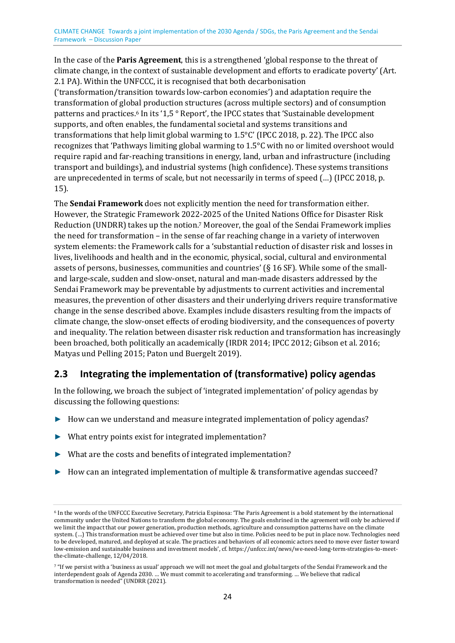<span id="page-23-3"></span>In the case of the **Paris Agreement**, this is a strengthened 'global response to the threat of climate change, in the context of sustainable development and efforts to eradicate poverty' (Art. 2.1 PA). Within the UNFCCC, it is recognised that both decarbonisation ('transformation/transition towards low-carbon economies') and adaptation require the transformation of glob[a](#page-23-1)l production structures (across multiple sectors) and of consumption patterns and practices.<sup>6</sup> In its '1,5 ° Report', the IPCC states that 'Sustainable development supports, and often enables, the fundamental societal and systems transitions and transformations that help limit global warming to 1.5°C' (IPCC 2018, p. 22). The IPCC also recognizes that 'Pathways limiting global warming to 1.5°C with no or limited overshoot would require rapid and far-reaching transitions in energy, land, urban and infrastructure (including transport and buildings), and industrial systems (high confidence). These systems transitions are unprecedented in terms of scale, but not necessarily in terms of speed (…) (IPCC 2018, p. 15).

<span id="page-23-4"></span>The **Sendai Framework** does not explicitly mention the need for transformation either. However, the Strategic Framework 202[2-](#page-23-2)2025 of the United Nations Office for Disaster Risk Reduction (UNDRR) takes up the notion.7 Moreover, the goal of the Sendai Framework implies the need for transformation – in the sense of far reaching change in a variety of interwoven system elements: the Framework calls for a 'substantial reduction of disaster risk and losses in lives, livelihoods and health and in the economic, physical, social, cultural and environmental assets of persons, businesses, communities and countries' (§ 16 SF). While some of the smalland large-scale, sudden and slow-onset, natural and man-made disasters addressed by the Sendai Framework may be preventable by adjustments to current activities and incremental measures, the prevention of other disasters and their underlying drivers require transformative change in the sense described above. Examples include disasters resulting from the impacts of climate change, the slow-onset effects of eroding biodiversity, and the consequences of poverty and inequality. The relation between disaster risk reduction and transformation has increasingly been broached, both politically an academically (IRDR 2014; IPCC 2012; Gibson et al. 2016; Matyas und Pelling 2015; Paton und Buergelt 2019).

### <span id="page-23-0"></span>**2.3 Integrating the implementation of (transformative) policy agendas**

In the following, we broach the subject of 'integrated implementation' of policy agendas by discussing the following questions:

- ► How can we understand and measure integrated implementation of policy agendas?
- ► What entry points exist for integrated implementation?
- ► What are the costs and benefits of integrated implementation?
- ► How can an integrated implementation of multiple & transformative agendas succeed?

<span id="page-23-1"></span><sup>6</sup> In the words of the UNFCCC Executive Secretary, Patricia Espinosa: 'The Paris Agreement is a bold statement by the international [c](#page-23-3)ommunity under the United Nations to transform the global economy. The goals enshrined in the agreement will only be achieved if we limit the impact that our power generation, production methods, agriculture and consumption patterns have on the climate system. (…) This transformation must be achieved over time but also in time. Policies need to be put in place now. Technologies need to be developed, matured, and deployed at scale. The practices and behaviors of all economic actors need to move ever faster toward low-emission and sustainable business and investment models', cf. https://unfccc.int/news/we-need-long-term-strategies-to-meetthe-climate-challenge, 12/04/2018.

<span id="page-23-2"></span><sup>&</sup>lt;sup>7</sup> "If we persist with a 'business as usual' approach we will not meet the goal and global targets of the Sendai Framework and the [in](#page-23-4)terdependent goals of Agenda 2030. … We must commit to accelerating and transforming. … We believe that radical transformation is needed" (UNDRR (2021).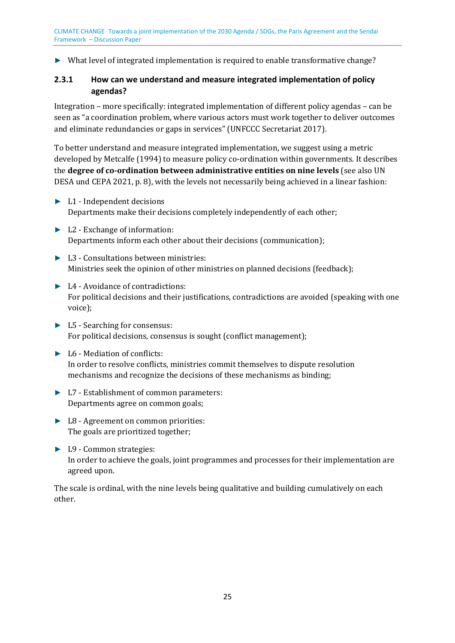► What level of integrated implementation is required to enable transformative change?

### <span id="page-24-0"></span>**2.3.1 How can we understand and measure integrated implementation of policy agendas?**

Integration – more specifically: integrated implementation of different policy agendas – can be seen as "a coordination problem, where various actors must work together to deliver outcomes and eliminate redundancies or gaps in services" (UNFCCC Secretariat 2017).

To better understand and measure integrated implementation, we suggest using a metric developed by Metcalfe (1994) to measure policy co-ordination within governments. It describes the **degree of co-ordination between administrative entities on nine levels** (see also UN DESA und CEPA 2021, p. 8), with the levels not necessarily being achieved in a linear fashion:

- ► L1 Independent decisions Departments make their decisions completely independently of each other;
- ► L2 Exchange of information: Departments inform each other about their decisions (communication);
- ► L3 Consultations between ministries: Ministries seek the opinion of other ministries on planned decisions (feedback);
- ► L4 Avoidance of contradictions: For political decisions and their justifications, contradictions are avoided (speaking with one voice);
- ► L5 Searching for consensus: For political decisions, consensus is sought (conflict management);
- ► L6 Mediation of conflicts: In order to resolve conflicts, ministries commit themselves to dispute resolution mechanisms and recognize the decisions of these mechanisms as binding;
- ► L7 Establishment of common parameters: Departments agree on common goals;
- ► L8 Agreement on common priorities: The goals are prioritized together;
- ► L9 Common strategies: In order to achieve the goals, joint programmes and processes for their implementation are agreed upon.

The scale is ordinal, with the nine levels being qualitative and building cumulatively on each other.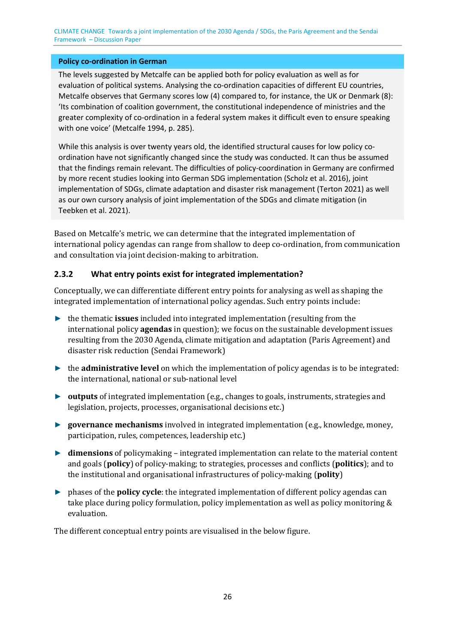#### **Policy co-ordination in German**

The levels suggested by Metcalfe can be applied both for policy evaluation as well as for evaluation of political systems. Analysing the co-ordination capacities of different EU countries, Metcalfe observes that Germany scores low (4) compared to, for instance, the UK or Denmark (8): 'Its combination of coalition government, the constitutional independence of ministries and the greater complexity of co-ordination in a federal system makes it difficult even to ensure speaking with one voice' (Metcalfe 1994, p. 285).

While this analysis is over twenty years old, the identified structural causes for low policy coordination have not significantly changed since the study was conducted. It can thus be assumed that the findings remain relevant. The difficulties of policy-coordination in Germany are confirmed by more recent studies looking into German SDG implementation (Scholz et al. 2016), joint implementation of SDGs, climate adaptation and disaster risk management (Terton 2021) as well as our own cursory analysis of joint implementation of the SDGs and climate mitigation (in Teebken et al. 2021).

Based on Metcalfe's metric, we can determine that the integrated implementation of international policy agendas can range from shallow to deep co-ordination, from communication and consultation via joint decision-making to arbitration.

#### <span id="page-25-0"></span>**2.3.2 What entry points exist for integrated implementation?**

Conceptually, we can differentiate different entry points for analysing as well as shaping the integrated implementation of international policy agendas. Such entry points include:

- ► the thematic **issues** included into integrated implementation (resulting from the international policy **agendas** in question); we focus on the sustainable development issues resulting from the 2030 Agenda, climate mitigation and adaptation (Paris Agreement) and disaster risk reduction (Sendai Framework)
- ► the **administrative level** on which the implementation of policy agendas is to be integrated: the international, national or sub-national level
- ► **outputs** of integrated implementation (e.g., changes to goals, instruments, strategies and legislation, projects, processes, organisational decisions etc.)
- ► **governance mechanisms** involved in integrated implementation (e.g., knowledge, money, participation, rules, competences, leadership etc.)
- ► **dimensions** of policymaking integrated implementation can relate to the material content and goals (**policy**) of policy-making; to strategies, processes and conflicts (**politics**); and to the institutional and organisational infrastructures of policy-making (**polity**)
- ► phases of the **policy cycle**: the integrated implementation of different policy agendas can take place during policy formulation, policy implementation as well as policy monitoring & evaluation.

The different conceptual entry points are visualised in the below figure.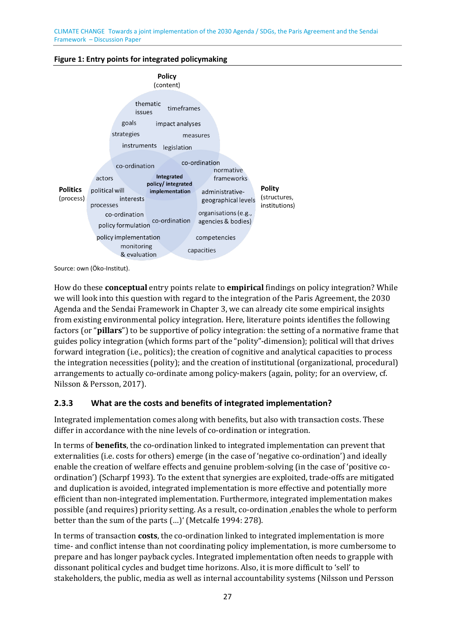<span id="page-26-1"></span>



Source: own (Öko-Institut).

How do these **conceptual** entry points relate to **empirical** findings on policy integration? While we will look into this question with regard to the integration of the Paris Agreement, the 2030 Agenda and the Sendai Framework in Chapter [3,](#page-30-0) we can already cite some empirical insights from existing environmental policy integration. Here, literature points identifies the following factors (or "**pillars**") to be supportive of policy integration: the setting of a normative frame that guides policy integration (which forms part of the "polity"-dimension); political will that drives forward integration (i.e., politics); the creation of cognitive and analytical capacities to process the integration necessities (polity); and the creation of institutional (organizational, procedural) arrangements to actually co-ordinate among policy-makers (again, polity; for an overview, cf. Nilsson & Persson, 2017).

### <span id="page-26-0"></span>**2.3.3 What are the costs and benefits of integrated implementation?**

Integrated implementation comes along with benefits, but also with transaction costs. These differ in accordance with the nine levels of co-ordination or integration.

In terms of **benefits**, the co-ordination linked to integrated implementation can prevent that externalities (i.e. costs for others) emerge (in the case of 'negative co-ordination') and ideally enable the creation of welfare effects and genuine problem-solving (in the case of 'positive coordination') (Scharpf 1993). To the extent that synergies are exploited, trade-offs are mitigated and duplication is avoided, integrated implementation is more effective and potentially more efficient than non-integrated implementation. Furthermore, integrated implementation makes possible (and requires) priority setting. As a result, co-ordination 'enables the whole to perform better than the sum of the parts (…)' (Metcalfe 1994: 278).

In terms of transaction **costs**, the co-ordination linked to integrated implementation is more time- and conflict intense than not coordinating policy implementation, is more cumbersome to prepare and has longer payback cycles. Integrated implementation often needs to grapple with dissonant political cycles and budget time horizons. Also, it is more difficult to 'sell' to stakeholders, the public, media as well as internal accountability systems (Nilsson und Persson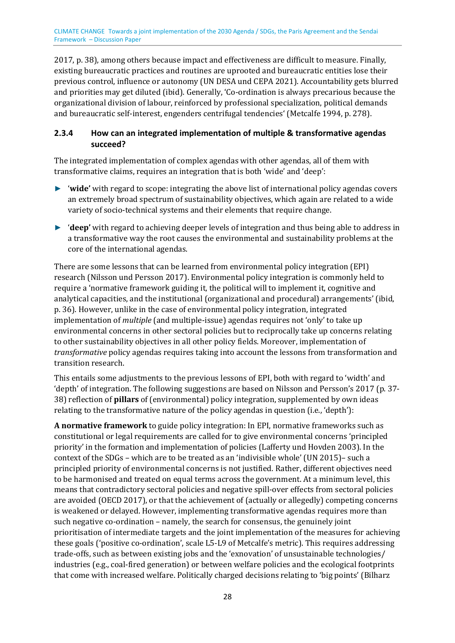2017, p. 38), among others because impact and effectiveness are difficult to measure. Finally, existing bureaucratic practices and routines are uprooted and bureaucratic entities lose their previous control, influence or autonomy (UN DESA und CEPA 2021). Accountability gets blurred and priorities may get diluted (ibid). Generally, 'Co-ordination is always precarious because the organizational division of labour, reinforced by professional specialization, political demands and bureaucratic self-interest, engenders centrifugal tendencies' (Metcalfe 1994, p. 278).

### <span id="page-27-0"></span>**2.3.4 How can an integrated implementation of multiple & transformative agendas succeed?**

The integrated implementation of complex agendas with other agendas, all of them with transformative claims, requires an integration that is both 'wide' and 'deep':

- ► '**wide'** with regard to scope: integrating the above list of international policy agendas covers an extremely broad spectrum of sustainability objectives, which again are related to a wide variety of socio-technical systems and their elements that require change.
- ► '**deep'** with regard to achieving deeper levels of integration and thus being able to address in a transformative way the root causes the environmental and sustainability problems at the core of the international agendas.

There are some lessons that can be learned from environmental policy integration (EPI) research (Nilsson und Persson 2017). Environmental policy integration is commonly held to require a 'normative framework guiding it, the political will to implement it, cognitive and analytical capacities, and the institutional (organizational and procedural) arrangements' (ibid, p. 36). However, unlike in the case of environmental policy integration, integrated implementation of *multiple* (and multiple-issue) agendas requires not 'only' to take up environmental concerns in other sectoral policies but to reciprocally take up concerns relating to other sustainability objectives in all other policy fields. Moreover, implementation of *transformative* policy agendas requires taking into account the lessons from transformation and transition research.

This entails some adjustments to the previous lessons of EPI, both with regard to 'width' and 'depth' of integration. The following suggestions are based on Nilsson and Persson's 2017 (p. 37- 38) reflection of **pillars** of (environmental) policy integration, supplemented by own ideas relating to the transformative nature of the policy agendas in question (i.e., 'depth'):

**A normative framework** to guide policy integration: In EPI, normative frameworks such as constitutional or legal requirements are called for to give environmental concerns 'principled priority' in the formation and implementation of policies (Lafferty und Hovden 2003). In the context of the SDGs – which are to be treated as an 'indivisible whole' (UN 2015)– such a principled priority of environmental concerns is not justified. Rather, different objectives need to be harmonised and treated on equal terms across the government. At a minimum level, this means that contradictory sectoral policies and negative spill-over effects from sectoral policies are avoided (OECD 2017), or that the achievement of (actually or allegedly) competing concerns is weakened or delayed. However, implementing transformative agendas requires more than such negative co-ordination – namely, the search for consensus, the genuinely joint prioritisation of intermediate targets and the joint implementation of the measures for achieving these goals ('positive co-ordination', scale L5-L9 of Metcalfe's metric). This requires addressing trade-offs, such as between existing jobs and the 'exnovation' of unsustainable technologies/ industries (e.g., coal-fired generation) or between welfare policies and the ecological footprints that come with increased welfare. Politically charged decisions relating to 'big points' (Bilharz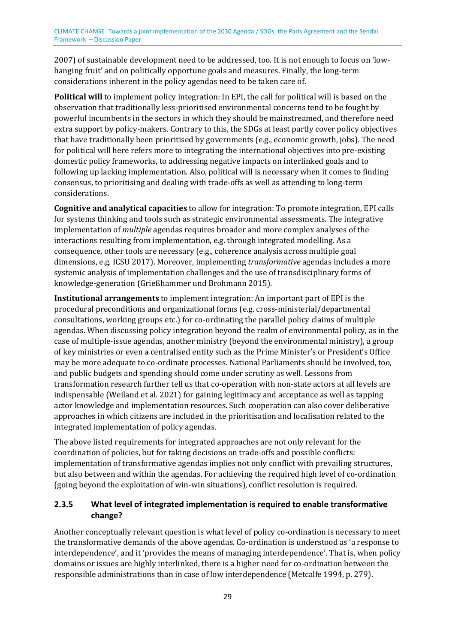2007) of sustainable development need to be addressed, too. It is not enough to focus on 'lowhanging fruit' and on politically opportune goals and measures. Finally, the long-term considerations inherent in the policy agendas need to be taken care of.

**Political will** to implement policy integration: In EPI, the call for political will is based on the observation that traditionally less-prioritised environmental concerns tend to be fought by powerful incumbents in the sectors in which they should be mainstreamed, and therefore need extra support by policy-makers. Contrary to this, the SDGs at least partly cover policy objectives that have traditionally been prioritised by governments (e.g., economic growth, jobs). The need for political will here refers more to integrating the international objectives into pre-existing domestic policy frameworks, to addressing negative impacts on interlinked goals and to following up lacking implementation. Also, political will is necessary when it comes to finding consensus, to prioritising and dealing with trade-offs as well as attending to long-term considerations.

**Cognitive and analytical capacities** to allow for integration: To promote integration, EPI calls for systems thinking and tools such as strategic environmental assessments. The integrative implementation of *multiple* agendas requires broader and more complex analyses of the interactions resulting from implementation, e.g. through integrated modelling. As a consequence, other tools are necessary (e.g., coherence analysis across multiple goal dimensions, e.g. ICSU 2017). Moreover, implementing *transformative* agendas includes a more systemic analysis of implementation challenges and the use of transdisciplinary forms of knowledge-generation (Grießhammer und Brohmann 2015).

**Institutional arrangements** to implement integration: An important part of EPI is the procedural preconditions and organizational forms (e.g. cross-ministerial/departmental consultations, working groups etc.) for co-ordinating the parallel policy claims of multiple agendas. When discussing policy integration beyond the realm of environmental policy, as in the case of multiple-issue agendas, another ministry (beyond the environmental ministry), a group of key ministries or even a centralised entity such as the Prime Minister's or President's Office may be more adequate to co-ordinate processes. National Parliaments should be involved, too, and public budgets and spending should come under scrutiny as well. Lessons from transformation research further tell us that co-operation with non-state actors at all levels are indispensable (Weiland et al. 2021) for gaining legitimacy and acceptance as well as tapping actor knowledge and implementation resources. Such cooperation can also cover deliberative approaches in which citizens are included in the prioritisation and localisation related to the integrated implementation of policy agendas.

The above listed requirements for integrated approaches are not only relevant for the coordination of policies, but for taking decisions on trade-offs and possible conflicts: implementation of transformative agendas implies not only conflict with prevailing structures, but also between and within the agendas. For achieving the required high level of co-ordination (going beyond the exploitation of win-win situations), conflict resolution is required.

### <span id="page-28-0"></span>**2.3.5 What level of integrated implementation is required to enable transformative change?**

Another conceptually relevant question is what level of policy co-ordination is necessary to meet the transformative demands of the above agendas. Co-ordination is understood as 'a response to interdependence', and it 'provides the means of managing interdependence'. That is, when policy domains or issues are highly interlinked, there is a higher need for co-ordination between the responsible administrations than in case of low interdependence (Metcalfe 1994, p. 279).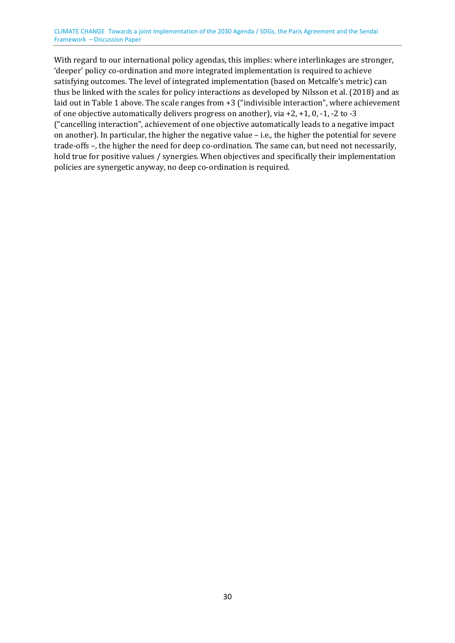With regard to our international policy agendas, this implies: where interlinkages are stronger, 'deeper' policy co-ordination and more integrated implementation is required to achieve satisfying outcomes. The level of integrated implementation (based on Metcalfe's metric) can thus be linked with the scales for policy interactions as developed by Nilsson et al. (2018) and as laid out i[n Table 1 a](#page-20-0)bove. The scale ranges from +3 ("indivisible interaction", where achievement of one objective automatically delivers progress on another), via +2, +1, 0, -1, -2 to -3 ("cancelling interaction", achievement of one objective automatically leads to a negative impact on another). In particular, the higher the negative value – i.e., the higher the potential for severe trade-offs –, the higher the need for deep co-ordination. The same can, but need not necessarily, hold true for positive values / synergies. When objectives and specifically their implementation policies are synergetic anyway, no deep co-ordination is required.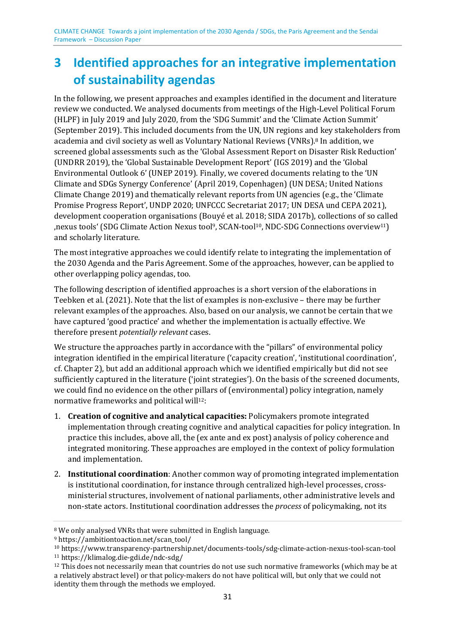# <span id="page-30-0"></span>**3 Identified approaches for an integrative implementation of sustainability agendas**

<span id="page-30-6"></span>In the following, we present approaches and examples identified in the document and literature review we conducted. We analysed documents from meetings of the High-Level Political Forum (HLPF) in July 2019 and July 2020, from the 'SDG Summit' and the 'Climate Action Summit' (September 2019). This included documents from the UN, UN regions an[d](#page-30-1) key stakeholders from academia and civil society as well as Voluntary National Reviews (VNRs).8 In addition, we screened global assessments such as the 'Global Assessment Report on Disaster Risk Reduction' (UNDRR 2019), the 'Global Sustainable Development Report' (IGS 2019) and the 'Global Environmental Outlook 6' (UNEP 2019). Finally, we covered documents relating to the 'UN Climate and SDGs Synergy Conference' (April 2019, Copenhagen) (UN DESA; United Nations Climate Change 2019) and thematically relevant reports from UN agencies (e.g., the 'Climate Promise Progress Report', UNDP 2020; UNFCCC Secretariat 2017; UN DESA und CEPA 2021), development cooperation organisations (Bo[u](#page-30-2)yé et al. 20[18](#page-30-3); SIDA 2017b), collections of so [cal](#page-30-4)led 'nexus tools' (SDG Climate Action Nexus tool9, SCAN-tool10, NDC-SDG Connections overview11) and scholarly literature.

<span id="page-30-9"></span><span id="page-30-8"></span><span id="page-30-7"></span>The most integrative approaches we could identify relate to integrating the implementation of the 2030 Agenda and the Paris Agreement. Some of the approaches, however, can be applied to other overlapping policy agendas, too.

The following description of identified approaches is a short version of the elaborations in Teebken et al. (2021). Note that the list of examples is non-exclusive – there may be further relevant examples of the approaches. Also, based on our analysis, we cannot be certain that we have captured 'good practice' and whether the implementation is actually effective. We therefore present *potentially relevant* cases.

We structure the approaches partly in accordance with the "pillars" of environmental policy integration identified in the empirical literature ('capacity creation', 'institutional coordination', cf. Chapter 2), but add an additional approach which we identified empirically but did not see sufficiently captured in the literature ('joint strategies'). On the basis of the screened documents, we could find no evidence on the other [pil](#page-30-5)lars of (environmental) policy integration, namely normative frameworks and political will12:

- <span id="page-30-10"></span>1. **Creation of cognitive and analytical capacities:** Policymakers promote integrated implementation through creating cognitive and analytical capacities for policy integration. In practice this includes, above all, the (ex ante and ex post) analysis of policy coherence and integrated monitoring. These approaches are employed in the context of policy formulation and implementation.
- 2. **Institutional coordination**: Another common way of promoting integrated implementation is institutional coordination, for instance through centralized high-level processes, crossministerial structures, involvement of national parliaments, other administrative levels and non-state actors. Institutional coordination addresses the *process* of policymaking, not its

<span id="page-30-2"></span><span id="page-30-1"></span>[<sup>8</sup>](#page-30-6) We only analysed VNRs that were submitted in English language.

<span id="page-30-3"></span><sup>9</sup> https://ambitiontoaction.net/scan\_tool/

<span id="page-30-4"></span>[<sup>1</sup>](#page-30-7)[0](#page-30-8) https://www.transparency-partnership.net/documents-tools/sdg-climate-action-nexus-tool-scan-tool

<span id="page-30-5"></span><sup>11</sup> https://klimalog.die-gdi.de/ndc-sdg/

<sup>&</sup>lt;sup>12</sup> This does not necessarily mean that countries do not use such normative frameworks (which may be at [a](#page-30-10) relatively abstract level) or that policy-makers do not have political will, but only that we could not identity them through the methods we employed.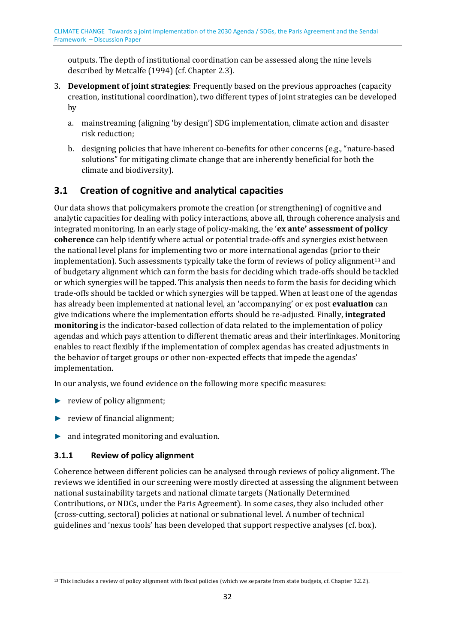outputs. The depth of institutional coordination can be assessed along the nine levels described by Metcalfe (1994) (cf. Chapte[r 2.3\)](#page-23-0).

- 3. **Development of joint strategies**: Frequently based on the previous approaches (capacity creation, institutional coordination), two different types of joint strategies can be developed by
	- a. mainstreaming (aligning 'by design') SDG implementation, climate action and disaster risk reduction;
	- b. designing policies that have inherent co-benefits for other concerns (e.g., "nature-based solutions" for mitigating climate change that are inherently beneficial for both the climate and biodiversity).

# <span id="page-31-0"></span>**3.1 Creation of cognitive and analytical capacities**

<span id="page-31-3"></span>Our data shows that policymakers promote the creation (or strengthening) of cognitive and analytic capacities for dealing with policy interactions, above all, through coherence analysis and integrated monitoring. In an early stage of policy-making, the '**ex ante' assessment of policy coherence** can help identify where actual or potential trade-offs and synergies exist between the national level plans for implementing two or more international agendas (prior to the[ir](#page-31-2)  implementation). Such assessments typically take the form of reviews of policy alignment<sup>13</sup> and of budgetary alignment which can form the basis for deciding which trade-offs should be tackled or which synergies will be tapped. This analysis then needs to form the basis for deciding which trade-offs should be tackled or which synergies will be tapped. When at least one of the agendas has already been implemented at national level, an 'accompanying' or ex post **evaluation** can give indications where the implementation efforts should be re-adjusted. Finally, **integrated monitoring** is the indicator-based collection of data related to the implementation of policy agendas and which pays attention to different thematic areas and their interlinkages. Monitoring enables to react flexibly if the implementation of complex agendas has created adjustments in the behavior of target groups or other non-expected effects that impede the agendas' implementation.

In our analysis, we found evidence on the following more specific measures:

- ► review of policy alignment;
- ► review of financial alignment;
- ► and integrated monitoring and evaluation.

### <span id="page-31-1"></span>**3.1.1 Review of policy alignment**

Coherence between different policies can be analysed through reviews of policy alignment. The reviews we identified in our screening were mostly directed at assessing the alignment between national sustainability targets and national climate targets (Nationally Determined Contributions, or NDCs, under the Paris Agreement). In some cases, they also included other (cross-cutting, sectoral) policies at national or subnational level. A number of technical guidelines and 'nexus tools' has been developed that support respective analyses (cf. box).

<span id="page-31-2"></span><sup>&</sup>lt;sup>[13](#page-31-3)</sup> This includes a review of policy alignment with fiscal policies (which we separate from state budgets, cf. Chapte[r 3.2.2\)](#page-34-0).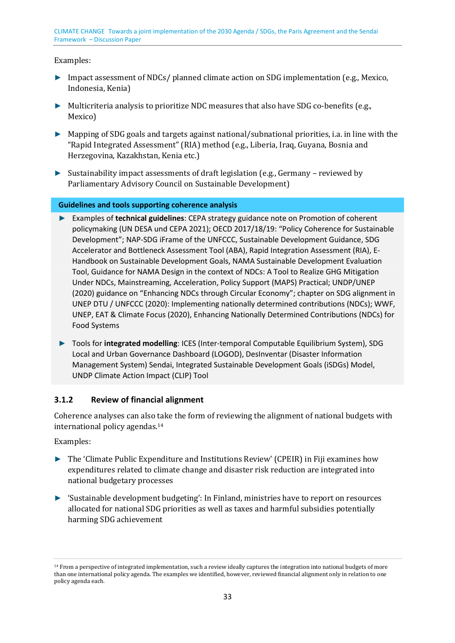Examples:

- ► Impact assessment of NDCs/ planned climate action on SDG implementation (e.g., Mexico, Indonesia, Kenia)
- ► Multicriteria analysis to prioritize NDC measures that also have SDG co-benefits (e.g., Mexico)
- ► Mapping of SDG goals and targets against national/subnational priorities, i.a. in line with the "Rapid Integrated Assessment" (RIA) method (e.g., Liberia, Iraq, Guyana, Bosnia and Herzegovina, Kazakhstan, Kenia etc.)
- ► Sustainability impact assessments of draft legislation (e.g., Germany reviewed by Parliamentary Advisory Council on Sustainable Development)

**Guidelines and tools supporting coherence analysis** 

- ► Examples of **technical guidelines**: CEPA strategy guidance note on Promotion of coherent policymaking (UN DESA und CEPA 2021); OECD 2017/18/19: "Policy Coherence for Sustainable Development"; NAP-SDG iFrame of the UNFCCC, Sustainable Development Guidance, SDG Accelerator and Bottleneck Assessment Tool (ABA), Rapid Integration Assessment (RIA), E-Handbook on Sustainable Development Goals, NAMA Sustainable Development Evaluation Tool, Guidance for NAMA Design in the context of NDCs: A Tool to Realize GHG Mitigation Under NDCs, Mainstreaming, Acceleration, Policy Support (MAPS) Practical; UNDP/UNEP (2020) guidance on "Enhancing NDCs through Circular Economy"; chapter on SDG alignment in UNEP DTU / UNFCCC (2020): Implementing nationally determined contributions (NDCs); WWF, UNEP, EAT & Climate Focus (2020), Enhancing Nationally Determined Contributions (NDCs) for Food Systems
- ► Tools for **integrated modelling**: ICES (Inter-temporal Computable Equilibrium System), SDG Local and Urban Governance Dashboard (LOGOD), DesInventar (Disaster Information Management System) Sendai, Integrated Sustainable Development Goals (iSDGs) Model, UNDP Climate Action Impact (CLIP) Tool

### <span id="page-32-0"></span>**3.1.2 Review of financial alignment**

<span id="page-32-2"></span>Coherence analyses can also [ta](#page-32-1)ke the form of reviewing the alignment of national budgets with international policy agendas.<sup>14</sup>

Examples:

- ► The 'Climate Public Expenditure and Institutions Review' (CPEIR) in Fiji examines how expenditures related to climate change and disaster risk reduction are integrated into national budgetary processes
- ► 'Sustainable development budgeting': In Finland, ministries have to report on resources allocated for national SDG priorities as well as taxes and harmful subsidies potentially harming SDG achievement

<span id="page-32-1"></span><sup>&</sup>lt;sup>14</sup> From a perspective of integrated implementation, such a review ideally captures the integration into national budgets of more [th](#page-32-2)an one international policy agenda. The examples we identified, however, reviewed financial alignment only in relation to one policy agenda each.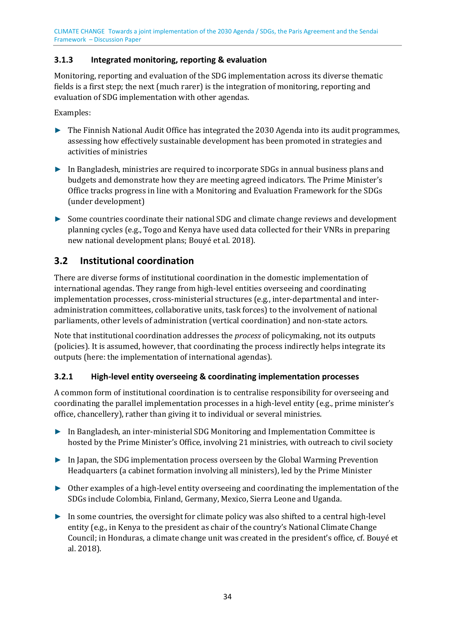### <span id="page-33-0"></span>**3.1.3 Integrated monitoring, reporting & evaluation**

Monitoring, reporting and evaluation of the SDG implementation across its diverse thematic fields is a first step; the next (much rarer) is the integration of monitoring, reporting and evaluation of SDG implementation with other agendas.

Examples:

- ► The Finnish National Audit Office has integrated the 2030 Agenda into its audit programmes, assessing how effectively sustainable development has been promoted in strategies and activities of ministries
- ► In Bangladesh, ministries are required to incorporate SDGs in annual business plans and budgets and demonstrate how they are meeting agreed indicators. The Prime Minister's Office tracks progress in line with a Monitoring and Evaluation Framework for the SDGs (under development)
- ► Some countries coordinate their national SDG and climate change reviews and development planning cycles (e.g., Togo and Kenya have used data collected for their VNRs in preparing new national development plans; Bouyé et al. 2018).

### <span id="page-33-1"></span>**3.2 Institutional coordination**

There are diverse forms of institutional coordination in the domestic implementation of international agendas. They range from high-level entities overseeing and coordinating implementation processes, cross-ministerial structures (e.g., inter-departmental and interadministration committees, collaborative units, task forces) to the involvement of national parliaments, other levels of administration (vertical coordination) and non-state actors.

Note that institutional coordination addresses the *process* of policymaking, not its outputs (policies). It is assumed, however, that coordinating the process indirectly helps integrate its outputs (here: the implementation of international agendas).

### <span id="page-33-2"></span>**3.2.1 High-level entity overseeing & coordinating implementation processes**

A common form of institutional coordination is to centralise responsibility for overseeing and coordinating the parallel implementation processes in a high-level entity (e.g., prime minister's office, chancellery), rather than giving it to individual or several ministries.

- ► In Bangladesh, an inter-ministerial SDG Monitoring and Implementation Committee is hosted by the Prime Minister's Office, involving 21 ministries, with outreach to civil society
- ► In Japan, the SDG implementation process overseen by the Global Warming Prevention Headquarters (a cabinet formation involving all ministers), led by the Prime Minister
- ► Other examples of a high-level entity overseeing and coordinating the implementation of the SDGs include Colombia, Finland, Germany, Mexico, Sierra Leone and Uganda.
- ► In some countries, the oversight for climate policy was also shifted to a central high-level entity (e.g., in Kenya to the president as chair of the country's National Climate Change Council; in Honduras, a climate change unit was created in the president's office, cf. Bouyé et al. 2018).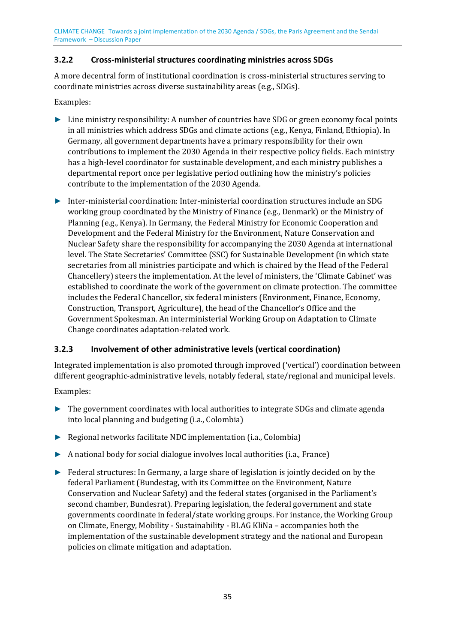### <span id="page-34-0"></span>**3.2.2 Cross-ministerial structures coordinating ministries across SDGs**

A more decentral form of institutional coordination is cross-ministerial structures serving to coordinate ministries across diverse sustainability areas (e.g., SDGs).

Examples:

- ► Line ministry responsibility: A number of countries have SDG or green economy focal points in all ministries which address SDGs and climate actions (e.g., Kenya, Finland, Ethiopia). In Germany, all government departments have a primary responsibility for their own contributions to implement the 2030 Agenda in their respective policy fields. Each ministry has a high-level coordinator for sustainable development, and each ministry publishes a departmental report once per legislative period outlining how the ministry's policies contribute to the implementation of the 2030 Agenda.
- ► Inter-ministerial coordination: Inter-ministerial coordination structures include an SDG working group coordinated by the Ministry of Finance (e.g., Denmark) or the Ministry of Planning (e.g., Kenya). In Germany, the Federal Ministry for Economic Cooperation and Development and the Federal Ministry for the Environment, Nature Conservation and Nuclear Safety share the responsibility for accompanying the 2030 Agenda at international level. The State Secretaries' Committee (SSC) for Sustainable Development (in which state secretaries from all ministries participate and which is chaired by the Head of the Federal Chancellery) steers the implementation. At the level of ministers, the 'Climate Cabinet' was established to coordinate the work of the government on climate protection. The committee includes the Federal Chancellor, six federal ministers (Environment, Finance, Economy, Construction, Transport, Agriculture), the head of the Chancellor's Office and the Government Spokesman. An interministerial Working Group on Adaptation to Climate Change coordinates adaptation-related work.

### <span id="page-34-1"></span>**3.2.3 Involvement of other administrative levels (vertical coordination)**

Integrated implementation is also promoted through improved ('vertical') coordination between different geographic-administrative levels, notably federal, state/regional and municipal levels.

Examples:

- ► The government coordinates with local authorities to integrate SDGs and climate agenda into local planning and budgeting (i.a., Colombia)
- ► Regional networks facilitate NDC implementation (i.a., Colombia)
- ► A national body for social dialogue involves local authorities (i.a., France)
- ► Federal structures: In Germany, a large share of legislation is jointly decided on by the federal Parliament (Bundestag, with its Committee on the Environment, Nature Conservation and Nuclear Safety) and the federal states (organised in the Parliament's second chamber, Bundesrat). Preparing legislation, the federal government and state governments coordinate in federal/state working groups. For instance, the Working Group on Climate, Energy, Mobility - Sustainability - BLAG KliNa – accompanies both the implementation of the sustainable development strategy and the national and European policies on climate mitigation and adaptation.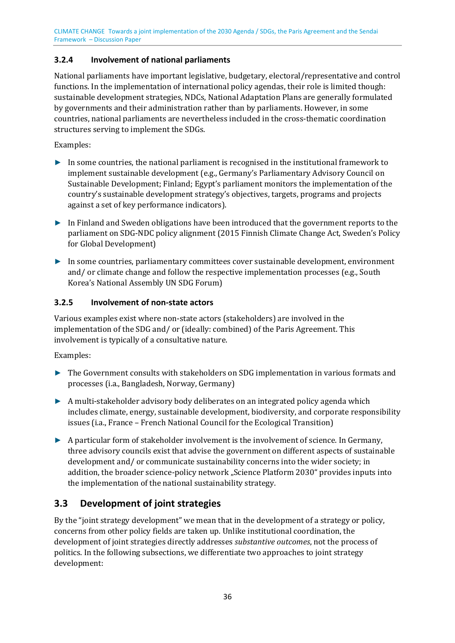### <span id="page-35-0"></span>**3.2.4 Involvement of national parliaments**

National parliaments have important legislative, budgetary, electoral/representative and control functions. In the implementation of international policy agendas, their role is limited though: sustainable development strategies, NDCs, National Adaptation Plans are generally formulated by governments and their administration rather than by parliaments. However, in some countries, national parliaments are nevertheless included in the cross-thematic coordination structures serving to implement the SDGs.

Examples:

- ► In some countries, the national parliament is recognised in the institutional framework to implement sustainable development (e.g., Germany's Parliamentary Advisory Council on Sustainable Development; Finland; Egypt's parliament monitors the implementation of the country's sustainable development strategy's objectives, targets, programs and projects against a set of key performance indicators).
- ► In Finland and Sweden obligations have been introduced that the government reports to the parliament on SDG-NDC policy alignment (2015 Finnish Climate Change Act, Sweden's Policy for Global Development)
- ► In some countries, parliamentary committees cover sustainable development, environment and/ or climate change and follow the respective implementation processes (e.g., South Korea's National Assembly UN SDG Forum)

### <span id="page-35-1"></span>**3.2.5 Involvement of non-state actors**

Various examples exist where non-state actors (stakeholders) are involved in the implementation of the SDG and/ or (ideally: combined) of the Paris Agreement. This involvement is typically of a consultative nature.

Examples:

- ► The Government consults with stakeholders on SDG implementation in various formats and processes (i.a., Bangladesh, Norway, Germany)
- ► A multi-stakeholder advisory body deliberates on an integrated policy agenda which includes climate, energy, sustainable development, biodiversity, and corporate responsibility issues (i.a., France – French National Council for the Ecological Transition)
- ► A particular form of stakeholder involvement is the involvement of science. In Germany, three advisory councils exist that advise the government on different aspects of sustainable development and/ or communicate sustainability concerns into the wider society; in addition, the broader science-policy network "Science Platform 2030" provides inputs into the implementation of the national sustainability strategy.

# <span id="page-35-2"></span>**3.3 Development of joint strategies**

By the "joint strategy development" we mean that in the development of a strategy or policy, concerns from other policy fields are taken up. Unlike institutional coordination, the development of joint strategies directly addresses *substantive outcomes*, not the process of politics. In the following subsections, we differentiate two approaches to joint strategy development: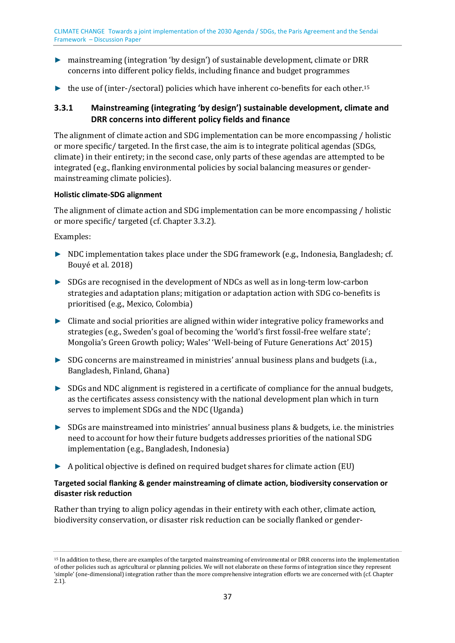- ► mainstreaming (integration 'by design') of sustainable development, climate or DRR concerns into different policy fields, including finance and budget programmes
- <span id="page-36-4"></span> $\blacktriangleright$  the use of (inter-/sectoral) policies which have inherent co-benefits for each other.<sup>[15](#page-36-3)</sup>

### <span id="page-36-0"></span>**3.3.1 Mainstreaming (integrating 'by design') sustainable development, climate and DRR concerns into different policy fields and finance**

The alignment of climate action and SDG implementation can be more encompassing / holistic or more specific/ targeted. In the first case, the aim is to integrate political agendas (SDGs, climate) in their entirety; in the second case, only parts of these agendas are attempted to be integrated (e.g., flanking environmental policies by social balancing measures or gendermainstreaming climate policies).

### <span id="page-36-1"></span>**Holistic climate-SDG alignment**

The alignment of climate action and SDG implementation can be more encompassing / holistic or more specific/ targeted (cf. Chapter [3.3.2\)](#page-37-0).

Examples:

- ► NDC implementation takes place under the SDG framework (e.g., Indonesia, Bangladesh; cf. Bouyé et al. 2018)
- ► SDGs are recognised in the development of NDCs as well as in long-term low-carbon strategies and adaptation plans; mitigation or adaptation action with SDG co-benefits is prioritised (e.g., Mexico, Colombia)
- ► Climate and social priorities are aligned within wider integrative policy frameworks and strategies (e.g., Sweden's goal of becoming the 'world's first fossil-free welfare state'; Mongolia's Green Growth policy; Wales' 'Well-being of Future Generations Act' 2015)
- ► SDG concerns are mainstreamed in ministries' annual business plans and budgets (i.a., Bangladesh, Finland, Ghana)
- ► SDGs and NDC alignment is registered in a certificate of compliance for the annual budgets, as the certificates assess consistency with the national development plan which in turn serves to implement SDGs and the NDC (Uganda)
- ► SDGs are mainstreamed into ministries' annual business plans & budgets, i.e. the ministries need to account for how their future budgets addresses priorities of the national SDG implementation (e.g., Bangladesh, Indonesia)
- ► A political objective is defined on required budget shares for climate action (EU)

### <span id="page-36-2"></span>**Targeted social flanking & gender mainstreaming of climate action, biodiversity conservation or disaster risk reduction**

Rather than trying to align policy agendas in their entirety with each other, climate action, biodiversity conservation, or disaster risk reduction can be socially flanked or gender-

<span id="page-36-3"></span><sup>15</sup> In addition to these, there are examples of the targeted mainstreaming of environmental or DRR concerns into the implementation [of](#page-36-4) other policies such as agricultural or planning policies. We will not elaborate on these forms of integration since they represent 'simple' (one-dimensional) integration rather than the more comprehensive integration efforts we are concerned with (cf. Chapter [2.1\)](#page-19-0).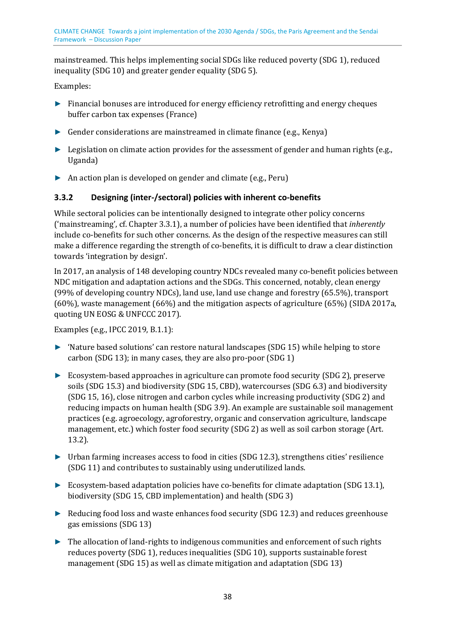mainstreamed. This helps implementing social SDGs like reduced poverty (SDG 1), reduced inequality (SDG 10) and greater gender equality (SDG 5).

Examples:

- ► Financial bonuses are introduced for energy efficiency retrofitting and energy cheques buffer carbon tax expenses (France)
- ► Gender considerations are mainstreamed in climate finance (e.g., Kenya)
- ► Legislation on climate action provides for the assessment of gender and human rights (e.g., Uganda)
- ► An action plan is developed on gender and climate (e.g., Peru)

### <span id="page-37-0"></span>**3.3.2 Designing (inter-/sectoral) policies with inherent co-benefits**

While sectoral policies can be intentionally designed to integrate other policy concerns ('mainstreaming', cf. Chapte[r 3.3.1\)](#page-36-0), a number of policies have been identified that *inherently* include co-benefits for such other concerns. As the design of the respective measures can still make a difference regarding the strength of co-benefits, it is difficult to draw a clear distinction towards 'integration by design'.

In 2017, an analysis of 148 developing country NDCs revealed many co-benefit policies between NDC mitigation and adaptation actions and the SDGs. This concerned, notably, clean energy (99% of developing country NDCs), land use, land use change and forestry (65.5%), transport (60%), waste management (66%) and the mitigation aspects of agriculture (65%) (SIDA 2017a, quoting UN EOSG & UNFCCC 2017).

Examples (e.g., IPCC 2019, B.1.1):

- ► 'Nature based solutions' can restore natural landscapes (SDG 15) while helping to store carbon (SDG 13); in many cases, they are also pro-poor (SDG 1)
- ► Ecosystem-based approaches in agriculture can promote food security (SDG 2), preserve soils (SDG 15.3) and biodiversity (SDG 15, CBD), watercourses (SDG 6.3) and biodiversity (SDG 15, 16), close nitrogen and carbon cycles while increasing productivity (SDG 2) and reducing impacts on human health (SDG 3.9). An example are sustainable soil management practices (e.g. agroecology, agroforestry, organic and conservation agriculture, landscape management, etc.) which foster food security (SDG 2) as well as soil carbon storage (Art. 13.2).
- ► Urban farming increases access to food in cities (SDG 12.3), strengthens cities' resilience (SDG 11) and contributes to sustainably using underutilized lands.
- ► Ecosystem-based adaptation policies have co-benefits for climate adaptation (SDG 13.1), biodiversity (SDG 15, CBD implementation) and health (SDG 3)
- ► Reducing food loss and waste enhances food security (SDG 12.3) and reduces greenhouse gas emissions (SDG 13)
- ► The allocation of land-rights to indigenous communities and enforcement of such rights reduces poverty (SDG 1), reduces inequalities (SDG 10), supports sustainable forest management (SDG 15) as well as climate mitigation and adaptation (SDG 13)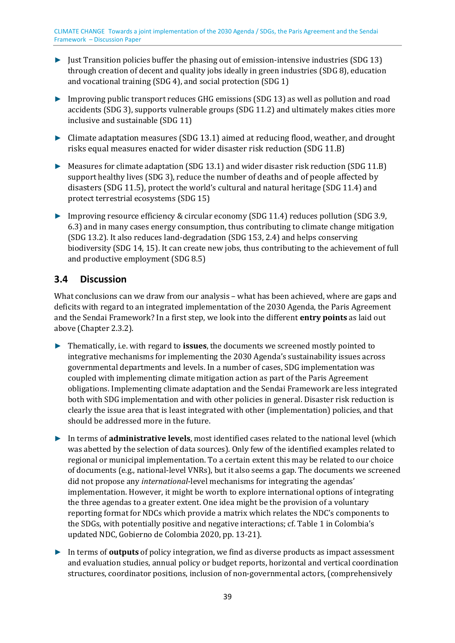- ► Just Transition policies buffer the phasing out of emission-intensive industries (SDG 13) through creation of decent and quality jobs ideally in green industries (SDG 8), education and vocational training (SDG 4), and social protection (SDG 1)
- ► Improving public transport reduces GHG emissions (SDG 13) as well as pollution and road accidents (SDG 3), supports vulnerable groups (SDG 11.2) and ultimately makes cities more inclusive and sustainable (SDG 11)
- ► Climate adaptation measures (SDG 13.1) aimed at reducing flood, weather, and drought risks equal measures enacted for wider disaster risk reduction (SDG 11.B)
- ► Measures for climate adaptation (SDG 13.1) and wider disaster risk reduction (SDG 11.B) support healthy lives (SDG 3), reduce the number of deaths and of people affected by disasters (SDG 11.5), protect the world's cultural and natural heritage (SDG 11.4) and protect terrestrial ecosystems (SDG 15)
- ► Improving resource efficiency & circular economy (SDG 11.4) reduces pollution (SDG 3.9, 6.3) and in many cases energy consumption, thus contributing to climate change mitigation (SDG 13.2). It also reduces land-degradation (SDG 153, 2.4) and helps conserving biodiversity (SDG 14, 15). It can create new jobs, thus contributing to the achievement of full and productive employment (SDG 8.5)

### <span id="page-38-0"></span>**3.4 Discussion**

What conclusions can we draw from our analysis – what has been achieved, where are gaps and deficits with regard to an integrated implementation of the 2030 Agenda, the Paris Agreement and the Sendai Framework? In a first step, we look into the different **entry points** as laid out above (Chapte[r 2.3.2\)](#page-25-0).

- ► Thematically, i.e. with regard to **issues**, the documents we screened mostly pointed to integrative mechanisms for implementing the 2030 Agenda's sustainability issues across governmental departments and levels. In a number of cases, SDG implementation was coupled with implementing climate mitigation action as part of the Paris Agreement obligations. Implementing climate adaptation and the Sendai Framework are less integrated both with SDG implementation and with other policies in general. Disaster risk reduction is clearly the issue area that is least integrated with other (implementation) policies, and that should be addressed more in the future.
- ► In terms of **administrative levels**, most identified cases related to the national level (which was abetted by the selection of data sources). Only few of the identified examples related to regional or municipal implementation. To a certain extent this may be related to our choice of documents (e.g., national-level VNRs), but it also seems a gap. The documents we screened did not propose any *international*-level mechanisms for integrating the agendas' implementation. However, it might be worth to explore international options of integrating the three agendas to a greater extent. One idea might be the provision of a voluntary reporting format for NDCs which provide a matrix which relates the NDC's components to the SDGs, with potentially positive and negative interactions; cf. Table 1 in Colombia's updated NDC, Gobierno de Colombia 2020, pp. 13-21).
- ► In terms of **outputs** of policy integration, we find as diverse products as impact assessment and evaluation studies, annual policy or budget reports, horizontal and vertical coordination structures, coordinator positions, inclusion of non-governmental actors, (comprehensively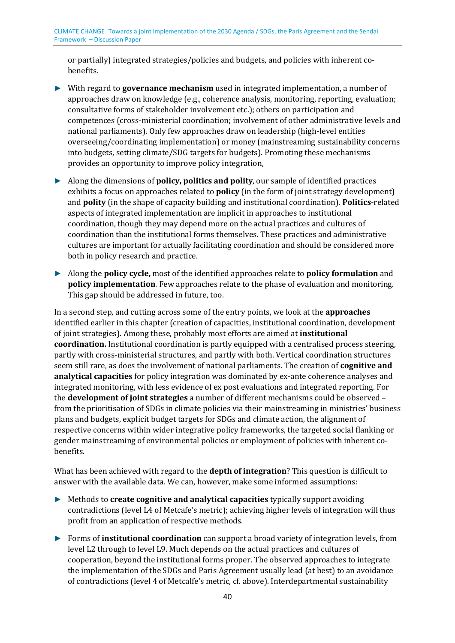or partially) integrated strategies/policies and budgets, and policies with inherent cobenefits.

- ► With regard to **governance mechanism** used in integrated implementation, a number of approaches draw on knowledge (e.g., coherence analysis, monitoring, reporting, evaluation; consultative forms of stakeholder involvement etc.); others on participation and competences (cross-ministerial coordination; involvement of other administrative levels and national parliaments). Only few approaches draw on leadership (high-level entities overseeing/coordinating implementation) or money (mainstreaming sustainability concerns into budgets, setting climate/SDG targets for budgets). Promoting these mechanisms provides an opportunity to improve policy integration,
- ► Along the dimensions of **policy, politics and polity**, our sample of identified practices exhibits a focus on approaches related to **policy** (in the form of joint strategy development) and **polity** (in the shape of capacity building and institutional coordination). **Politics**-related aspects of integrated implementation are implicit in approaches to institutional coordination, though they may depend more on the actual practices and cultures of coordination than the institutional forms themselves. These practices and administrative cultures are important for actually facilitating coordination and should be considered more both in policy research and practice.
- ► Along the **policy cycle,** most of the identified approaches relate to **policy formulation** and **policy implementation**. Few approaches relate to the phase of evaluation and monitoring. This gap should be addressed in future, too.

In a second step, and cutting across some of the entry points, we look at the **approaches** identified earlier in this chapter (creation of capacities, institutional coordination, development of joint strategies). Among these, probably most efforts are aimed at **institutional coordination.** Institutional coordination is partly equipped with a centralised process steering, partly with cross-ministerial structures, and partly with both. Vertical coordination structures seem still rare, as does the involvement of national parliaments. The creation of **cognitive and analytical capacities** for policy integration was dominated by ex-ante coherence analyses and integrated monitoring, with less evidence of ex post evaluations and integrated reporting. For the **development of joint strategies** a number of different mechanisms could be observed – from the prioritisation of SDGs in climate policies via their mainstreaming in ministries' business plans and budgets, explicit budget targets for SDGs and climate action, the alignment of respective concerns within wider integrative policy frameworks, the targeted social flanking or gender mainstreaming of environmental policies or employment of policies with inherent cobenefits.

What has been achieved with regard to the **depth of integration**? This question is difficult to answer with the available data. We can, however, make some informed assumptions:

- ► Methods to **create cognitive and analytical capacities** typically support avoiding contradictions (level L4 of Metcafe's metric); achieving higher levels of integration will thus profit from an application of respective methods.
- ► Forms of **institutional coordination** can support a broad variety of integration levels, from level L2 through to level L9. Much depends on the actual practices and cultures of cooperation, beyond the institutional forms proper. The observed approaches to integrate the implementation of the SDGs and Paris Agreement usually lead (at best) to an avoidance of contradictions (level 4 of Metcalfe's metric, cf. above). Interdepartmental sustainability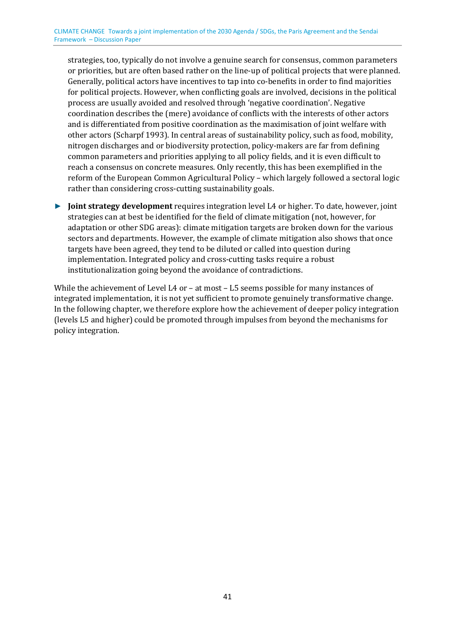strategies, too, typically do not involve a genuine search for consensus, common parameters or priorities, but are often based rather on the line-up of political projects that were planned. Generally, political actors have incentives to tap into co-benefits in order to find majorities for political projects. However, when conflicting goals are involved, decisions in the political process are usually avoided and resolved through 'negative coordination'. Negative coordination describes the (mere) avoidance of conflicts with the interests of other actors and is differentiated from positive coordination as the maximisation of joint welfare with other actors (Scharpf 1993). In central areas of sustainability policy, such as food, mobility, nitrogen discharges and or biodiversity protection, policy-makers are far from defining common parameters and priorities applying to all policy fields, and it is even difficult to reach a consensus on concrete measures. Only recently, this has been exemplified in the reform of the European Common Agricultural Policy – which largely followed a sectoral logic rather than considering cross-cutting sustainability goals.

► **Joint strategy development** requires integration level L4 or higher. To date, however, joint strategies can at best be identified for the field of climate mitigation (not, however, for adaptation or other SDG areas): climate mitigation targets are broken down for the various sectors and departments. However, the example of climate mitigation also shows that once targets have been agreed, they tend to be diluted or called into question during implementation. Integrated policy and cross-cutting tasks require a robust institutionalization going beyond the avoidance of contradictions.

While the achievement of Level L4 or - at most - L5 seems possible for many instances of integrated implementation, it is not yet sufficient to promote genuinely transformative change. In the following chapter, we therefore explore how the achievement of deeper policy integration (levels L5 and higher) could be promoted through impulses from beyond the mechanisms for policy integration.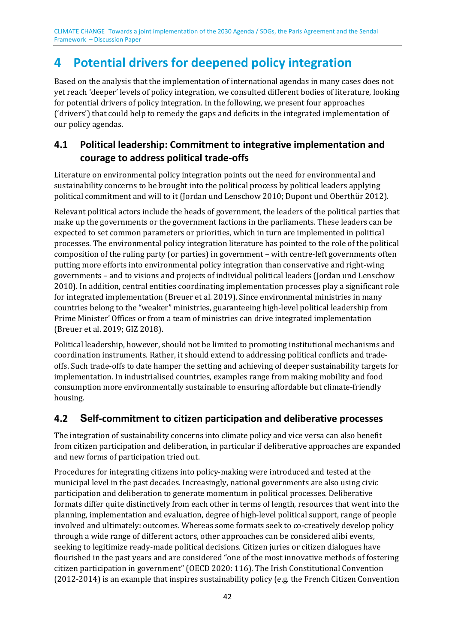# **4 Potential drivers for deepened policy integration**

Based on the analysis that the implementation of international agendas in many cases does not yet reach 'deeper' levels of policy integration, we consulted different bodies of literature, looking for potential drivers of policy integration. In the following, we present four approaches ('drivers') that could help to remedy the gaps and deficits in the integrated implementation of our policy agendas.

# <span id="page-41-0"></span>**4.1 Political leadership: Commitment to integrative implementation and courage to address political trade-offs**

Literature on environmental policy integration points out the need for environmental and sustainability concerns to be brought into the political process by political leaders applying political commitment and will to it (Jordan und Lenschow 2010; Dupont und Oberthür 2012).

Relevant political actors include the heads of government, the leaders of the political parties that make up the governments or the government factions in the parliaments. These leaders can be expected to set common parameters or priorities, which in turn are implemented in political processes. The environmental policy integration literature has pointed to the role of the political composition of the ruling party (or parties) in government – with centre-left governments often putting more efforts into environmental policy integration than conservative and right-wing governments – and to visions and projects of individual political leaders (Jordan und Lenschow 2010). In addition, central entities coordinating implementation processes play a significant role for integrated implementation (Breuer et al. 2019). Since environmental ministries in many countries belong to the "weaker" ministries, guaranteeing high-level political leadership from Prime Minister' Offices or from a team of ministries can drive integrated implementation (Breuer et al. 2019; GIZ 2018).

Political leadership, however, should not be limited to promoting institutional mechanisms and coordination instruments. Rather, it should extend to addressing political conflicts and tradeoffs. Such trade-offs to date hamper the setting and achieving of deeper sustainability targets for implementation. In industrialised countries, examples range from making mobility and food consumption more environmentally sustainable to ensuring affordable but climate-friendly housing.

# <span id="page-41-1"></span>**4.2 Self-commitment to citizen participation and deliberative processes**

The integration of sustainability concerns into climate policy and vice versa can also benefit from citizen participation and deliberation, in particular if deliberative approaches are expanded and new forms of participation tried out.

Procedures for integrating citizens into policy-making were introduced and tested at the municipal level in the past decades. Increasingly, national governments are also using civic participation and deliberation to generate momentum in political processes. Deliberative formats differ quite distinctively from each other in terms of length, resources that went into the planning, implementation and evaluation, degree of high-level political support, range of people involved and ultimately: outcomes. Whereas some formats seek to co-creatively develop policy through a wide range of different actors, other approaches can be considered alibi events, seeking to legitimize ready-made political decisions. Citizen juries or citizen dialogues have flourished in the past years and are considered "one of the most innovative methods of fostering citizen participation in government" (OECD 2020: 116). The Irish Constitutional Convention (2012-2014) is an example that inspires sustainability policy (e.g. the French Citizen Convention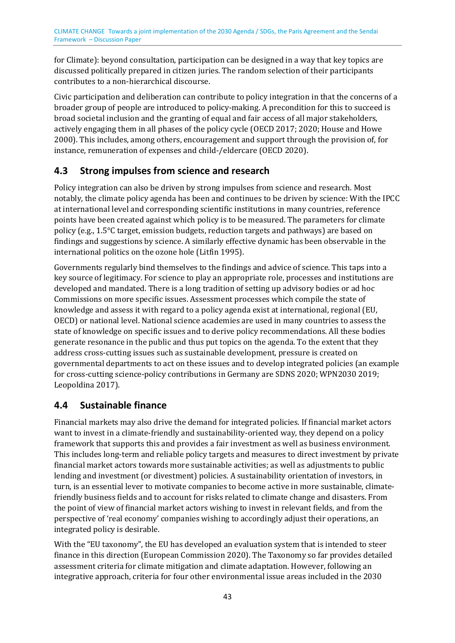for Climate): beyond consultation, participation can be designed in a way that key topics are discussed politically prepared in citizen juries. The random selection of their participants contributes to a non-hierarchical discourse.

Civic participation and deliberation can contribute to policy integration in that the concerns of a broader group of people are introduced to policy-making. A precondition for this to succeed is broad societal inclusion and the granting of equal and fair access of all major stakeholders, actively engaging them in all phases of the policy cycle (OECD 2017; 2020; House and Howe 2000). This includes, among others, encouragement and support through the provision of, for instance, remuneration of expenses and child-/eldercare (OECD 2020).

# <span id="page-42-0"></span>**4.3 Strong impulses from science and research**

Policy integration can also be driven by strong impulses from science and research. Most notably, the climate policy agenda has been and continues to be driven by science: With the IPCC at international level and corresponding scientific institutions in many countries, reference points have been created against which policy is to be measured. The parameters for climate policy (e.g., 1.5°C target, emission budgets, reduction targets and pathways) are based on findings and suggestions by science. A similarly effective dynamic has been observable in the international politics on the ozone hole (Litfin 1995).

Governments regularly bind themselves to the findings and advice of science. This taps into a key source of legitimacy. For science to play an appropriate role, processes and institutions are developed and mandated. There is a long tradition of setting up advisory bodies or ad hoc Commissions on more specific issues. Assessment processes which compile the state of knowledge and assess it with regard to a policy agenda exist at international, regional (EU, OECD) or national level. National science academies are used in many countries to assess the state of knowledge on specific issues and to derive policy recommendations. All these bodies generate resonance in the public and thus put topics on the agenda. To the extent that they address cross-cutting issues such as sustainable development, pressure is created on governmental departments to act on these issues and to develop integrated policies (an example for cross-cutting science-policy contributions in Germany are SDNS 2020; WPN2030 2019; Leopoldina 2017).

# <span id="page-42-1"></span>**4.4 Sustainable finance**

Financial markets may also drive the demand for integrated policies. If financial market actors want to invest in a climate-friendly and sustainability-oriented way, they depend on a policy framework that supports this and provides a fair investment as well as business environment. This includes long-term and reliable policy targets and measures to direct investment by private financial market actors towards more sustainable activities; as well as adjustments to public lending and investment (or divestment) policies. A sustainability orientation of investors, in turn, is an essential lever to motivate companies to become active in more sustainable, climatefriendly business fields and to account for risks related to climate change and disasters. From the point of view of financial market actors wishing to invest in relevant fields, and from the perspective of 'real economy' companies wishing to accordingly adjust their operations, an integrated policy is desirable.

With the "EU taxonomy", the EU has developed an evaluation system that is intended to steer finance in this direction (European Commission 2020). The Taxonomy so far provides detailed assessment criteria for climate mitigation and climate adaptation. However, following an integrative approach, criteria for four other environmental issue areas included in the 2030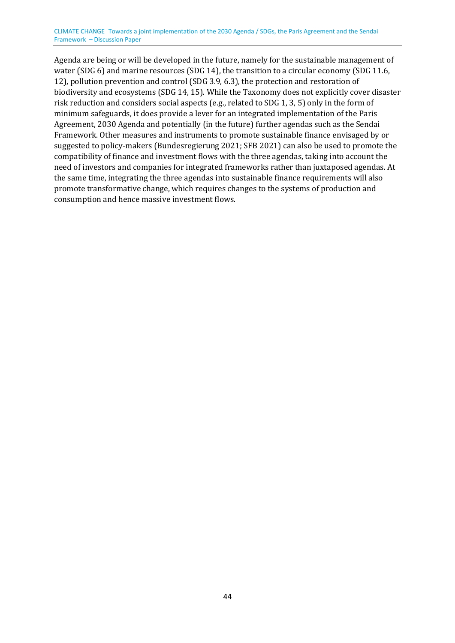Agenda are being or will be developed in the future, namely for the sustainable management of water (SDG 6) and marine resources (SDG 14), the transition to a circular economy (SDG 11.6, 12), pollution prevention and control (SDG 3.9, 6.3), the protection and restoration of biodiversity and ecosystems (SDG 14, 15). While the Taxonomy does not explicitly cover disaster risk reduction and considers social aspects (e.g., related to SDG 1, 3, 5) only in the form of minimum safeguards, it does provide a lever for an integrated implementation of the Paris Agreement, 2030 Agenda and potentially (in the future) further agendas such as the Sendai Framework. Other measures and instruments to promote sustainable finance envisaged by or suggested to policy-makers (Bundesregierung 2021; SFB 2021) can also be used to promote the compatibility of finance and investment flows with the three agendas, taking into account the need of investors and companies for integrated frameworks rather than juxtaposed agendas. At the same time, integrating the three agendas into sustainable finance requirements will also promote transformative change, which requires changes to the systems of production and consumption and hence massive investment flows.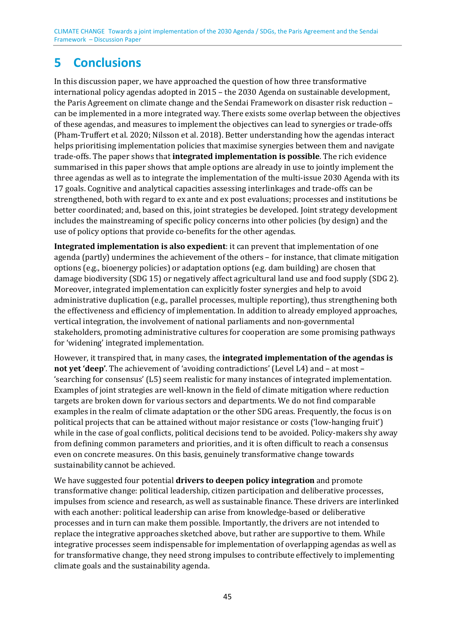# <span id="page-44-0"></span>**5 Conclusions**

In this discussion paper, we have approached the question of how three transformative international policy agendas adopted in 2015 – the 2030 Agenda on sustainable development, the Paris Agreement on climate change and the Sendai Framework on disaster risk reduction – can be implemented in a more integrated way. There exists some overlap between the objectives of these agendas, and measures to implement the objectives can lead to synergies or trade-offs (Pham-Truffert et al. 2020; Nilsson et al. 2018). Better understanding how the agendas interact helps prioritising implementation policies that maximise synergies between them and navigate trade-offs. The paper shows that **integrated implementation is possible**. The rich evidence summarised in this paper shows that ample options are already in use to jointly implement the three agendas as well as to integrate the implementation of the multi-issue 2030 Agenda with its 17 goals. Cognitive and analytical capacities assessing interlinkages and trade-offs can be strengthened, both with regard to ex ante and ex post evaluations; processes and institutions be better coordinated; and, based on this, joint strategies be developed. Joint strategy development includes the mainstreaming of specific policy concerns into other policies (by design) and the use of policy options that provide co-benefits for the other agendas.

**Integrated implementation is also expedient**: it can prevent that implementation of one agenda (partly) undermines the achievement of the others – for instance, that climate mitigation options (e.g., bioenergy policies) or adaptation options (e.g. dam building) are chosen that damage biodiversity (SDG 15) or negatively affect agricultural land use and food supply (SDG 2). Moreover, integrated implementation can explicitly foster synergies and help to avoid administrative duplication (e.g., parallel processes, multiple reporting), thus strengthening both the effectiveness and efficiency of implementation. In addition to already employed approaches, vertical integration, the involvement of national parliaments and non-governmental stakeholders, promoting administrative cultures for cooperation are some promising pathways for 'widening' integrated implementation.

However, it transpired that, in many cases, the **integrated implementation of the agendas is not yet 'deep'**. The achievement of 'avoiding contradictions' (Level L4) and – at most – 'searching for consensus' (L5) seem realistic for many instances of integrated implementation. Examples of joint strategies are well-known in the field of climate mitigation where reduction targets are broken down for various sectors and departments. We do not find comparable examples in the realm of climate adaptation or the other SDG areas. Frequently, the focus is on political projects that can be attained without major resistance or costs ('low-hanging fruit') while in the case of goal conflicts, political decisions tend to be avoided. Policy-makers shy away from defining common parameters and priorities, and it is often difficult to reach a consensus even on concrete measures. On this basis, genuinely transformative change towards sustainability cannot be achieved.

We have suggested four potential **drivers to deepen policy integration** and promote transformative change: political leadership, citizen participation and deliberative processes, impulses from science and research, as well as sustainable finance. These drivers are interlinked with each another: political leadership can arise from knowledge-based or deliberative processes and in turn can make them possible. Importantly, the drivers are not intended to replace the integrative approaches sketched above, but rather are supportive to them. While integrative processes seem indispensable for implementation of overlapping agendas as well as for transformative change, they need strong impulses to contribute effectively to implementing climate goals and the sustainability agenda.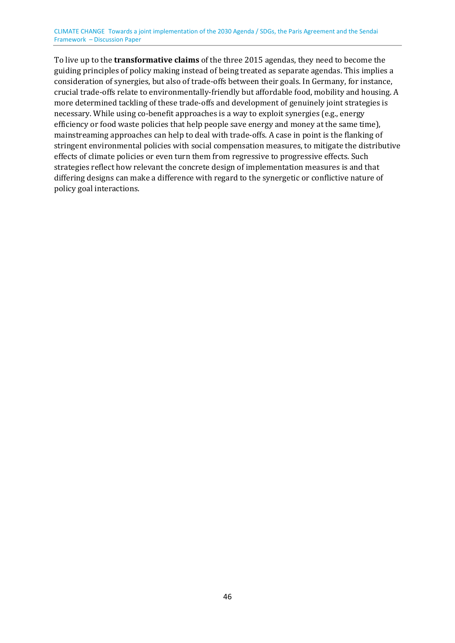To live up to the **transformative claims** of the three 2015 agendas, they need to become the guiding principles of policy making instead of being treated as separate agendas. This implies a consideration of synergies, but also of trade-offs between their goals. In Germany, for instance, crucial trade-offs relate to environmentally-friendly but affordable food, mobility and housing. A more determined tackling of these trade-offs and development of genuinely joint strategies is necessary. While using co-benefit approaches is a way to exploit synergies (e.g., energy efficiency or food waste policies that help people save energy and money at the same time), mainstreaming approaches can help to deal with trade-offs. A case in point is the flanking of stringent environmental policies with social compensation measures, to mitigate the distributive effects of climate policies or even turn them from regressive to progressive effects. Such strategies reflect how relevant the concrete design of implementation measures is and that differing designs can make a difference with regard to the synergetic or conflictive nature of policy goal interactions.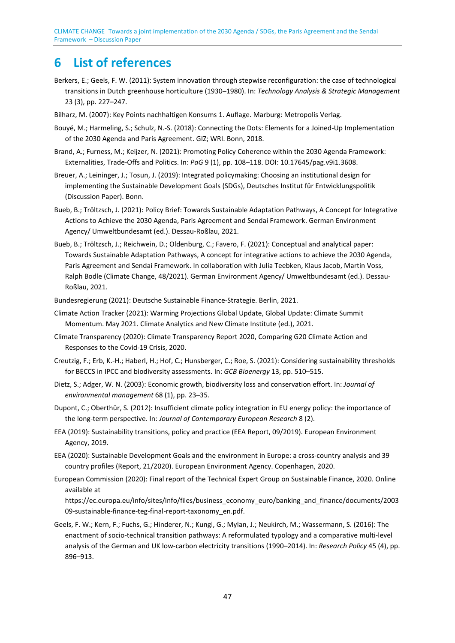# <span id="page-46-0"></span>**6 List of references**

- Berkers, E.; Geels, F. W. (2011): System innovation through stepwise reconfiguration: the case of technological transitions in Dutch greenhouse horticulture (1930–1980). In: *Technology Analysis & Strategic Management*  23 (3), pp. 227–247.
- Bilharz, M. (2007): Key Points nachhaltigen Konsums 1. Auflage. Marburg: Metropolis Verlag.
- Bouyé, M.; Harmeling, S.; Schulz, N.-S. (2018): Connecting the Dots: Elements for a Joined-Up Implementation of the 2030 Agenda and Paris Agreement. GIZ; WRI. Bonn, 2018.
- Brand, A.; Furness, M.; Keijzer, N. (2021): Promoting Policy Coherence within the 2030 Agenda Framework: Externalities, Trade-Offs and Politics. In: *PaG* 9 (1), pp. 108–118. DOI: 10.17645/pag.v9i1.3608.
- Breuer, A.; Leininger, J.; Tosun, J. (2019): Integrated policymaking: Choosing an institutional design for implementing the Sustainable Development Goals (SDGs), Deutsches Institut für Entwicklungspolitik (Discussion Paper). Bonn.
- Bueb, B.; Tröltzsch, J. (2021): Policy Brief: Towards Sustainable Adaptation Pathways, A Concept for Integrative Actions to Achieve the 2030 Agenda, Paris Agreement and Sendai Framework. German Environment Agency/ Umweltbundesamt (ed.). Dessau-Roßlau, 2021.
- Bueb, B.; Tröltzsch, J.; Reichwein, D.; Oldenburg, C.; Favero, F. (2021): Conceptual and analytical paper: Towards Sustainable Adaptation Pathways, A concept for integrative actions to achieve the 2030 Agenda, Paris Agreement and Sendai Framework. In collaboration with Julia Teebken, Klaus Jacob, Martin Voss, Ralph Bodle (Climate Change, 48/2021). German Environment Agency/ Umweltbundesamt (ed.). Dessau-Roßlau, 2021.
- Bundesregierung (2021): Deutsche Sustainable Finance-Strategie. Berlin, 2021.
- Climate Action Tracker (2021): Warming Projections Global Update, Global Update: Climate Summit Momentum. May 2021. Climate Analytics and New Climate Institute (ed.), 2021.
- Climate Transparency (2020): Climate Transparency Report 2020, Comparing G20 Climate Action and Responses to the Covid-19 Crisis, 2020.
- Creutzig, F.; Erb, K.-H.; Haberl, H.; Hof, C.; Hunsberger, C.; Roe, S. (2021): Considering sustainability thresholds for BECCS in IPCC and biodiversity assessments. In: *GCB Bioenergy* 13, pp. 510–515.
- Dietz, S.; Adger, W. N. (2003): Economic growth, biodiversity loss and conservation effort. In: *Journal of environmental management* 68 (1), pp. 23–35.
- Dupont, C.; Oberthür, S. (2012): Insufficient climate policy integration in EU energy policy: the importance of the long-term perspective. In: *Journal of Contemporary European Research* 8 (2).
- EEA (2019): Sustainability transitions, policy and practice (EEA Report, 09/2019). European Environment Agency, 2019.
- EEA (2020): Sustainable Development Goals and the environment in Europe: a cross-country analysis and 39 country profiles (Report, 21/2020). European Environment Agency. Copenhagen, 2020.
- European Commission (2020): Final report of the Technical Expert Group on Sustainable Finance, 2020. Online available at

https://ec.europa.eu/info/sites/info/files/business\_economy\_euro/banking\_and\_finance/documents/2003 09-sustainable-finance-teg-final-report-taxonomy\_en.pdf.

Geels, F. W.; Kern, F.; Fuchs, G.; Hinderer, N.; Kungl, G.; Mylan, J.; Neukirch, M.; Wassermann, S. (2016): The enactment of socio-technical transition pathways: A reformulated typology and a comparative multi-level analysis of the German and UK low-carbon electricity transitions (1990–2014). In: *Research Policy* 45 (4), pp. 896–913.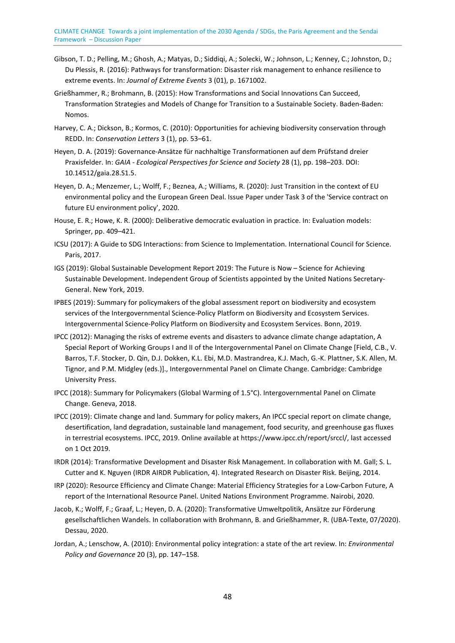- Gibson, T. D.; Pelling, M.; Ghosh, A.; Matyas, D.; Siddiqi, A.; Solecki, W.; Johnson, L.; Kenney, C.; Johnston, D.; Du Plessis, R. (2016): Pathways for transformation: Disaster risk management to enhance resilience to extreme events. In: *Journal of Extreme Events* 3 (01), p. 1671002.
- Grießhammer, R.; Brohmann, B. (2015): How Transformations and Social Innovations Can Succeed, Transformation Strategies and Models of Change for Transition to a Sustainable Society. Baden-Baden: Nomos.
- Harvey, C. A.; Dickson, B.; Kormos, C. (2010): Opportunities for achieving biodiversity conservation through REDD. In: *Conservation Letters* 3 (1), pp. 53–61.
- Heyen, D. A. (2019): Governance-Ansätze für nachhaltige Transformationen auf dem Prüfstand dreier Praxisfelder. In: *GAIA - Ecological Perspectives for Science and Society* 28 (1), pp. 198–203. DOI: 10.14512/gaia.28.S1.5.
- Heyen, D. A.; Menzemer, L.; Wolff, F.; Beznea, A.; Williams, R. (2020): Just Transition in the context of EU environmental policy and the European Green Deal. Issue Paper under Task 3 of the 'Service contract on future EU environment policy', 2020.
- House, E. R.; Howe, K. R. (2000): Deliberative democratic evaluation in practice. In: Evaluation models: Springer, pp. 409–421.
- ICSU (2017): A Guide to SDG Interactions: from Science to Implementation. International Council for Science. Paris, 2017.
- IGS (2019): Global Sustainable Development Report 2019: The Future is Now Science for Achieving Sustainable Development. Independent Group of Scientists appointed by the United Nations Secretary-General. New York, 2019.
- IPBES (2019): Summary for policymakers of the global assessment report on biodiversity and ecosystem services of the Intergovernmental Science-Policy Platform on Biodiversity and Ecosystem Services. Intergovernmental Science-Policy Platform on Biodiversity and Ecosystem Services. Bonn, 2019.
- IPCC (2012): Managing the risks of extreme events and disasters to advance climate change adaptation, A Special Report of Working Groups I and II of the Intergovernmental Panel on Climate Change [Field, C.B., V. Barros, T.F. Stocker, D. Qin, D.J. Dokken, K.L. Ebi, M.D. Mastrandrea, K.J. Mach, G.-K. Plattner, S.K. Allen, M. Tignor, and P.M. Midgley (eds.)]., Intergovernmental Panel on Climate Change. Cambridge: Cambridge University Press.
- IPCC (2018): Summary for Policymakers (Global Warming of 1.5°C). Intergovernmental Panel on Climate Change. Geneva, 2018.
- IPCC (2019): Climate change and land. Summary for policy makers, An IPCC special report on climate change, desertification, land degradation, sustainable land management, food security, and greenhouse gas fluxes in terrestrial ecosystems. IPCC, 2019. Online available at https://www.ipcc.ch/report/srccl/, last accessed on 1 Oct 2019.
- IRDR (2014): Transformative Development and Disaster Risk Management. In collaboration with M. Gall; S. L. Cutter and K. Nguyen (IRDR AIRDR Publication, 4). Integrated Research on Disaster Risk. Beijing, 2014.
- IRP (2020): Resource Efficiency and Climate Change: Material Efficiency Strategies for a Low-Carbon Future, A report of the International Resource Panel. United Nations Environment Programme. Nairobi, 2020.
- Jacob, K.; Wolff, F.; Graaf, L.; Heyen, D. A. (2020): Transformative Umweltpolitik, Ansätze zur Förderung gesellschaftlichen Wandels. In collaboration with Brohmann, B. and Grießhammer, R. (UBA-Texte, 07/2020). Dessau, 2020.
- Jordan, A.; Lenschow, A. (2010): Environmental policy integration: a state of the art review. In: *Environmental Policy and Governance* 20 (3), pp. 147–158.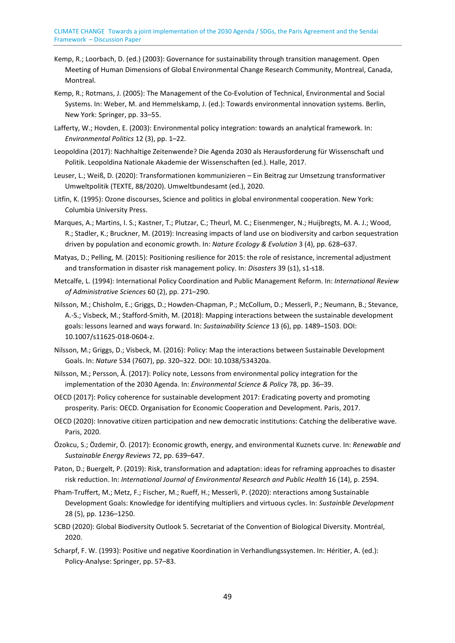- Kemp, R.; Loorbach, D. (ed.) (2003): Governance for sustainability through transition management. Open Meeting of Human Dimensions of Global Environmental Change Research Community, Montreal, Canada, Montreal.
- Kemp, R.; Rotmans, J. (2005): The Management of the Co-Evolution of Technical, Environmental and Social Systems. In: Weber, M. and Hemmelskamp, J. (ed.): Towards environmental innovation systems. Berlin, New York: Springer, pp. 33–55.
- Lafferty, W.; Hovden, E. (2003): Environmental policy integration: towards an analytical framework. In: *Environmental Politics* 12 (3), pp. 1–22.
- Leopoldina (2017): Nachhaltige Zeitenwende? Die Agenda 2030 als Herausforderung für Wissenschaft und Politik. Leopoldina Nationale Akademie der Wissenschaften (ed.). Halle, 2017.
- Leuser, L.; Weiß, D. (2020): Transformationen kommunizieren Ein Beitrag zur Umsetzung transformativer Umweltpolitik (TEXTE, 88/2020). Umweltbundesamt (ed.), 2020.
- Litfin, K. (1995): Ozone discourses, Science and politics in global environmental cooperation. New York: Columbia University Press.
- Marques, A.; Martins, I. S.; Kastner, T.; Plutzar, C.; Theurl, M. C.; Eisenmenger, N.; Huijbregts, M. A. J.; Wood, R.; Stadler, K.; Bruckner, M. (2019): Increasing impacts of land use on biodiversity and carbon sequestration driven by population and economic growth. In: *Nature Ecology & Evolution* 3 (4), pp. 628–637.
- Matyas, D.; Pelling, M. (2015): Positioning resilience for 2015: the role of resistance, incremental adjustment and transformation in disaster risk management policy. In: *Disasters* 39 (s1), s1-s18.
- Metcalfe, L. (1994): International Policy Coordination and Public Management Reform. In: *International Review of Administrative Sciences* 60 (2), pp. 271–290.
- Nilsson, M.; Chisholm, E.; Griggs, D.; Howden-Chapman, P.; McCollum, D.; Messerli, P.; Neumann, B.; Stevance, A.-S.; Visbeck, M.; Stafford-Smith, M. (2018): Mapping interactions between the sustainable development goals: lessons learned and ways forward. In: *Sustainability Science* 13 (6), pp. 1489–1503. DOI: 10.1007/s11625-018-0604-z.
- Nilsson, M.; Griggs, D.; Visbeck, M. (2016): Policy: Map the interactions between Sustainable Development Goals. In: *Nature* 534 (7607), pp. 320–322. DOI: 10.1038/534320a.
- Nilsson, M.; Persson, Å. (2017): Policy note, Lessons from environmental policy integration for the implementation of the 2030 Agenda. In: *Environmental Science & Policy* 78, pp. 36–39.
- OECD (2017): Policy coherence for sustainable development 2017: Eradicating poverty and promoting prosperity. Paris: OECD. Organisation for Economic Cooperation and Development. Paris, 2017.
- OECD (2020): Innovative citizen participation and new democratic institutions: Catching the deliberative wave. Paris, 2020.
- Özokcu, S.; Özdemir, Ö. (2017): Economic growth, energy, and environmental Kuznets curve. In: *Renewable and Sustainable Energy Reviews* 72, pp. 639–647.
- Paton, D.; Buergelt, P. (2019): Risk, transformation and adaptation: ideas for reframing approaches to disaster risk reduction. In: *International Journal of Environmental Research and Public Health* 16 (14), p. 2594.
- Pham-Truffert, M.; Metz, F.; Fischer, M.; Rueff, H.; Messerli, P. (2020): nteractions among Sustainable Development Goals: Knowledge for identifying multipliers and virtuous cycles. In: *Sustainble Development*  28 (5), pp. 1236–1250.
- SCBD (2020): Global Biodiversity Outlook 5. Secretariat of the Convention of Biological Diversity. Montréal, 2020.
- Scharpf, F. W. (1993): Positive und negative Koordination in Verhandlungssystemen. In: Héritier, A. (ed.): Policy-Analyse: Springer, pp. 57–83.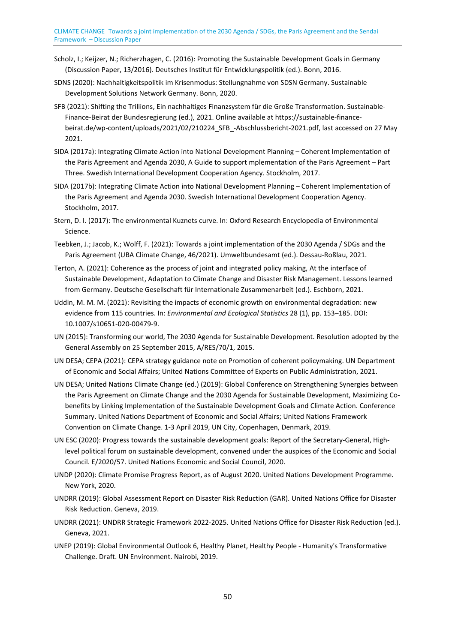- Scholz, I.; Keijzer, N.; Richerzhagen, C. (2016): Promoting the Sustainable Development Goals in Germany (Discussion Paper, 13/2016). Deutsches Institut für Entwicklungspolitik (ed.). Bonn, 2016.
- SDNS (2020): Nachhaltigkeitspolitik im Krisenmodus: Stellungnahme von SDSN Germany. Sustainable Development Solutions Network Germany. Bonn, 2020.
- SFB (2021): Shifting the Trillions, Ein nachhaltiges Finanzsystem für die Große Transformation. Sustainable-Finance-Beirat der Bundesregierung (ed.), 2021. Online available at https://sustainable-financebeirat.de/wp-content/uploads/2021/02/210224\_SFB\_-Abschlussbericht-2021.pdf, last accessed on 27 May 2021.
- SIDA (2017a): Integrating Climate Action into National Development Planning Coherent Implementation of the Paris Agreement and Agenda 2030, A Guide to support mplementation of the Paris Agreement – Part Three. Swedish International Development Cooperation Agency. Stockholm, 2017.
- SIDA (2017b): Integrating Climate Action into National Development Planning Coherent Implementation of the Paris Agreement and Agenda 2030. Swedish International Development Cooperation Agency. Stockholm, 2017.
- Stern, D. I. (2017): The environmental Kuznets curve. In: Oxford Research Encyclopedia of Environmental Science.
- Teebken, J.; Jacob, K.; Wolff, F. (2021): Towards a joint implementation of the 2030 Agenda / SDGs and the Paris Agreement (UBA Climate Change, 46/2021). Umweltbundesamt (ed.). Dessau-Roßlau, 2021.
- Terton, A. (2021): Coherence as the process of joint and integrated policy making, At the interface of Sustainable Development, Adaptation to Climate Change and Disaster Risk Management. Lessons learned from Germany. Deutsche Gesellschaft für Internationale Zusammenarbeit (ed.). Eschborn, 2021.
- Uddin, M. M. M. (2021): Revisiting the impacts of economic growth on environmental degradation: new evidence from 115 countries. In: *Environmental and Ecological Statistics* 28 (1), pp. 153–185. DOI: 10.1007/s10651-020-00479-9.
- UN (2015): Transforming our world, The 2030 Agenda for Sustainable Development. Resolution adopted by the General Assembly on 25 September 2015, A/RES/70/1, 2015.
- UN DESA; CEPA (2021): CEPA strategy guidance note on Promotion of coherent policymaking. UN Department of Economic and Social Affairs; United Nations Committee of Experts on Public Administration, 2021.
- UN DESA; United Nations Climate Change (ed.) (2019): Global Conference on Strengthening Synergies between the Paris Agreement on Climate Change and the 2030 Agenda for Sustainable Development, Maximizing Cobenefits by Linking Implementation of the Sustainable Development Goals and Climate Action. Conference Summary. United Nations Department of Economic and Social Affairs; United Nations Framework Convention on Climate Change. 1-3 April 2019, UN City, Copenhagen, Denmark, 2019.
- UN ESC (2020): Progress towards the sustainable development goals: Report of the Secretary-General, Highlevel political forum on sustainable development, convened under the auspices of the Economic and Social Council. E/2020/57. United Nations Economic and Social Council, 2020.
- UNDP (2020): Climate Promise Progress Report, as of August 2020. United Nations Development Programme. New York, 2020.
- UNDRR (2019): Global Assessment Report on Disaster Risk Reduction (GAR). United Nations Office for Disaster Risk Reduction. Geneva, 2019.
- UNDRR (2021): UNDRR Strategic Framework 2022-2025. United Nations Office for Disaster Risk Reduction (ed.). Geneva, 2021.
- UNEP (2019): Global Environmental Outlook 6, Healthy Planet, Healthy People Humanity's Transformative Challenge. Draft. UN Environment. Nairobi, 2019.